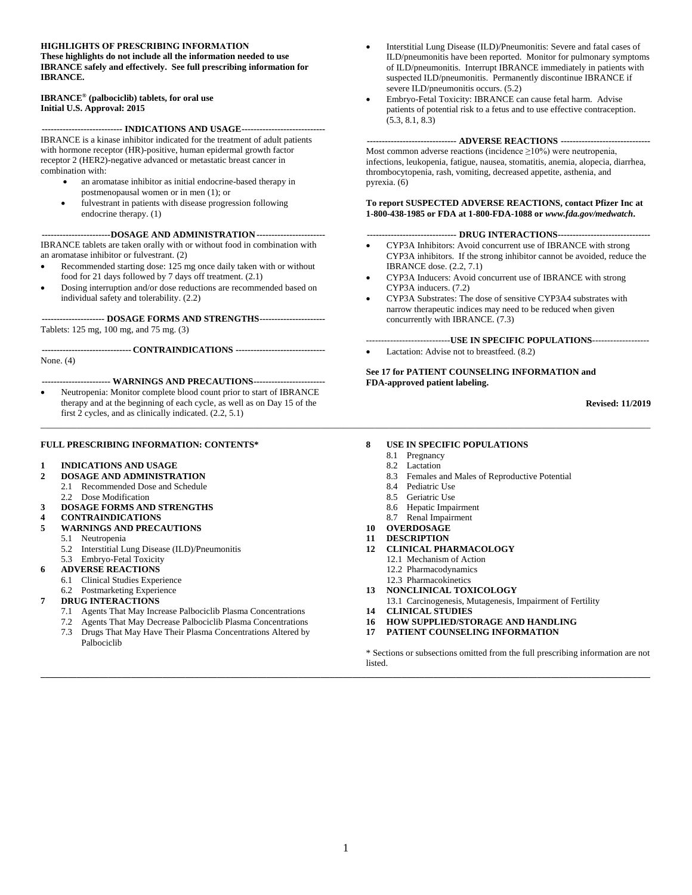#### **HIGHLIGHTS OF PRESCRIBING INFORMATION**

**These highlights do not include all the information needed to use IBRANCE safely and effectively. See full prescribing information for IBRANCE.**

#### **IBRANCE® (palbociclib) tablets, for oral use Initial U.S. Approval: 2015**

**--------------------------- INDICATIONS AND USAGE----------------------------** IBRANCE is a kinase inhibitor indicated for the treatment of adult patients with hormone receptor (HR)-positive, human epidermal growth factor receptor 2 (HER2)-negative advanced or metastatic breast cancer in combination with:

- an aromatase inhibitor as initial endocrine-based therapy in postmenopausal women or in men (1); or
- fulvestrant in patients with disease progression following endocrine therapy. (1)

**-----------------------DOSAGE AND ADMINISTRATION-----------------------** IBRANCE tablets are taken orally with or without food in combination with an aromatase inhibitor or fulvestrant. (2)

- Recommended starting dose: 125 mg once daily taken with or without food for 21 days followed by 7 days off treatment. (2.1)
- Dosing interruption and/or dose reductions are recommended based on individual safety and tolerability. (2.2)

**--------------------- DOSAGE FORMS AND STRENGTHS----------------------** Tablets: 125 mg, 100 mg, and 75 mg. (3)

**------------------------------ CONTRAINDICATIONS ------------------------------**

None. (4)

#### **----------------------- WARNINGS AND PRECAUTIONS------------------------**

• Neutropenia: Monitor complete blood count prior to start of IBRANCE therapy and at the beginning of each cycle, as well as on Day 15 of the first 2 cycles, and as clinically indicated. (2.2, 5.1)

#### **FULL PRESCRIBING INFORMATION: CONTENTS\***

- **1 INDICATIONS AND USAGE**
- **2 DOSAGE AND ADMINISTRATION**
	- 2.1 Recommended Dose and Schedule
	- 2.2 Dose Modification
- **3 DOSAGE FORMS AND STRENGTHS**
- **4 CONTRAINDICATIONS**
- **5 WARNINGS AND PRECAUTIONS**
	- 5.1 Neutropenia
	- 5.2 Interstitial Lung Disease (ILD)/Pneumonitis
	- 5.3 Embryo-Fetal Toxicity
- **6 ADVERSE REACTIONS**
	- 6.1 Clinical Studies Experience
	- 6.2 Postmarketing Experience
- **7 DRUG INTERACTIONS**
	- 7.1 Agents That May Increase Palbociclib Plasma Concentrations
	- 7.2 Agents That May Decrease Palbociclib Plasma Concentrations<br>7.3 Drugs That May Have Their Plasma Concentrations Altered by
	- Drugs That May Have Their Plasma Concentrations Altered by Palbociclib
- Interstitial Lung Disease (ILD)/Pneumonitis: Severe and fatal cases of ILD/pneumonitis have been reported. Monitor for pulmonary symptoms of ILD/pneumonitis. Interrupt IBRANCE immediately in patients with suspected ILD/pneumonitis. Permanently discontinue IBRANCE if severe ILD/pneumonitis occurs. (5.2)
- Embryo-Fetal Toxicity: IBRANCE can cause fetal harm. Advise patients of potential risk to a fetus and to use effective contraception.  $(5.3, 8.1, 8.3)$

#### **------------------------------ ADVERSE REACTIONS ------------------------------**

Most common adverse reactions (incidence  $\geq 10\%$ ) were neutropenia, infections, leukopenia, fatigue, nausea, stomatitis, anemia, alopecia, diarrhea, thrombocytopenia, rash, vomiting, decreased appetite, asthenia, and pyrexia. (6)

#### **To report SUSPECTED ADVERSE REACTIONS, contact Pfizer Inc at 1-800-438-1985 or FDA at 1-800-FDA-1088 or** *[www.fda.gov/medwatch](http://www.fda.gov/medwatch)***.**

#### **------------------------------ DRUG INTERACTIONS-------------------------------**

- CYP3A Inhibitors: Avoid concurrent use of IBRANCE with strong CYP3A inhibitors. If the strong inhibitor cannot be avoided, reduce the IBRANCE dose. (2.2, 7.1)
- CYP3A Inducers: Avoid concurrent use of IBRANCE with strong CYP3A inducers. (7.2)
- CYP3A Substrates: The dose of sensitive CYP3A4 substrates with narrow therapeutic indices may need to be reduced when given concurrently with IBRANCE. (7.3)

----------------------------**USE IN SPECIFIC POPULATIONS**------------------- Lactation: Advise not to breastfeed.  $(8.2)$ 

**See 17 for PATIENT COUNSELING INFORMATION and FDA-approved patient labeling.**

**Revised: 11/2019**

#### **8 USE IN SPECIFIC POPULATIONS**

8.1 Pregnancy

\_\_\_\_\_\_\_\_\_\_\_\_\_\_\_\_\_\_\_\_\_\_\_\_\_\_\_\_\_\_\_\_\_\_\_\_\_\_\_\_\_\_\_\_\_\_\_\_\_\_\_\_\_\_\_\_\_\_\_\_\_\_\_\_\_\_\_\_\_\_\_\_\_\_\_\_\_\_\_\_\_\_\_\_\_\_\_\_\_\_\_\_\_\_\_\_\_\_\_\_\_\_\_\_\_\_\_\_\_\_\_\_\_\_\_\_\_\_\_\_\_\_\_\_\_\_\_\_\_\_\_\_\_\_\_

- 8.2 Lactation
- 8.3 Females and Males of Reproductive Potential
- 8.4 Pediatric Use
- 8.5 Geriatric Use
- 8.6 Hepatic Impairment
- 8.7 Renal Impairment
- **10 OVERDOSAGE**
- **11 DESCRIPTION**
- **12 CLINICAL PHARMACOLOGY**
	- 12.1 Mechanism of Action
	- 12.2 Pharmacodynamics
	- 12.3 Pharmacokinetics
- **13 NONCLINICAL TOXICOLOGY**
- 13.1 Carcinogenesis, Mutagenesis, Impairment of Fertility
- **14 CLINICAL STUDIES**
- **16 HOW SUPPLIED/STORAGE AND HANDLING**
- **17 PATIENT COUNSELING INFORMATION**

\* Sections or subsections omitted from the full prescribing information are not listed.

**\_\_\_\_\_\_\_\_\_\_\_\_\_\_\_\_\_\_\_\_\_\_\_\_\_\_\_\_\_\_\_\_\_\_\_\_\_\_\_\_\_\_\_\_\_\_\_\_\_\_\_\_\_\_\_\_\_\_\_\_\_\_\_\_\_\_\_\_\_\_\_\_\_\_\_\_\_\_\_\_\_\_\_\_\_\_\_\_\_\_\_\_\_\_\_\_\_\_\_\_\_\_\_\_\_\_\_\_\_\_\_\_\_\_\_\_\_\_\_\_\_\_\_\_\_\_\_\_\_\_\_\_\_\_\_**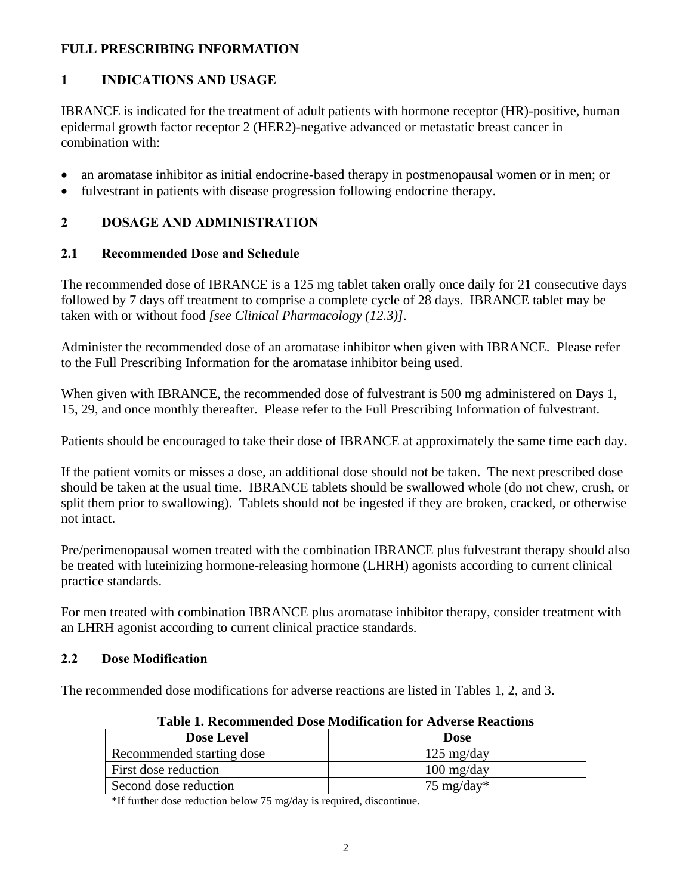### **FULL PRESCRIBING INFORMATION**

## **1 INDICATIONS AND USAGE**

IBRANCE is indicated for the treatment of adult patients with hormone receptor (HR)-positive, human epidermal growth factor receptor 2 (HER2)-negative advanced or metastatic breast cancer in combination with:

- an aromatase inhibitor as initial endocrine-based therapy in postmenopausal women or in men; or
- fulvestrant in patients with disease progression following endocrine therapy.

### **2 DOSAGE AND ADMINISTRATION**

### **2.1 Recommended Dose and Schedule**

The recommended dose of IBRANCE is a 125 mg tablet taken orally once daily for 21 consecutive days followed by 7 days off treatment to comprise a complete cycle of 28 days. IBRANCE tablet may be taken with or without food *[see Clinical Pharmacology (12.3)]*.

Administer the recommended dose of an aromatase inhibitor when given with IBRANCE. Please refer to the Full Prescribing Information for the aromatase inhibitor being used.

When given with IBRANCE, the recommended dose of fulvestrant is 500 mg administered on Days 1, 15, 29, and once monthly thereafter. Please refer to the Full Prescribing Information of fulvestrant.

Patients should be encouraged to take their dose of IBRANCE at approximately the same time each day.

If the patient vomits or misses a dose, an additional dose should not be taken. The next prescribed dose should be taken at the usual time. IBRANCE tablets should be swallowed whole (do not chew, crush, or split them prior to swallowing). Tablets should not be ingested if they are broken, cracked, or otherwise not intact.

Pre/perimenopausal women treated with the combination IBRANCE plus fulvestrant therapy should also be treated with luteinizing hormone-releasing hormone (LHRH) agonists according to current clinical practice standards.

For men treated with combination IBRANCE plus aromatase inhibitor therapy, consider treatment with an LHRH agonist according to current clinical practice standards.

### **2.2 Dose Modification**

The recommended dose modifications for adverse reactions are listed in Tables 1, 2, and 3.

| Table 1. Recommended Dose Modification for the clise Reactions |                       |  |  |
|----------------------------------------------------------------|-----------------------|--|--|
| <b>Dose Level</b>                                              | <b>Dose</b>           |  |  |
| Recommended starting dose                                      | $125 \text{ mg/day}$  |  |  |
| First dose reduction                                           | $100 \text{ mg/day}$  |  |  |
| Second dose reduction                                          | $75 \text{ mg/day}^*$ |  |  |
|                                                                |                       |  |  |

**Table 1. Recommended Dose Modification for Adverse Reactions**

\*If further dose reduction below 75 mg/day is required, discontinue.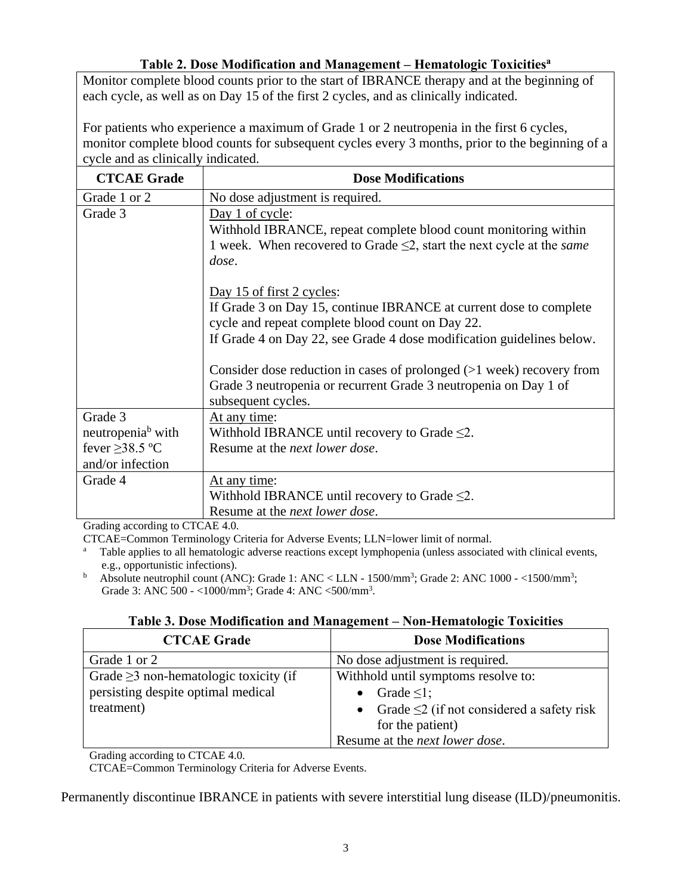### **Table 2. Dose Modification and Management – Hematologic Toxicities<sup>a</sup>**

Monitor complete blood counts prior to the start of IBRANCE therapy and at the beginning of each cycle, as well as on Day 15 of the first 2 cycles, and as clinically indicated.

For patients who experience a maximum of Grade 1 or 2 neutropenia in the first 6 cycles, monitor complete blood counts for subsequent cycles every 3 months, prior to the beginning of a cycle and as clinically indicated.

| <b>CTCAE Grade</b>            | <b>Dose Modifications</b>                                                  |
|-------------------------------|----------------------------------------------------------------------------|
| Grade 1 or 2                  | No dose adjustment is required.                                            |
| Grade 3                       | Day 1 of cycle:                                                            |
|                               | Withhold IBRANCE, repeat complete blood count monitoring within            |
|                               | 1 week. When recovered to Grade $\leq$ 2, start the next cycle at the same |
|                               | dose.                                                                      |
|                               | Day 15 of first 2 cycles:                                                  |
|                               | If Grade 3 on Day 15, continue IBRANCE at current dose to complete         |
|                               | cycle and repeat complete blood count on Day 22.                           |
|                               | If Grade 4 on Day 22, see Grade 4 dose modification guidelines below.      |
|                               |                                                                            |
|                               | Consider dose reduction in cases of prolonged $(>1$ week) recovery from    |
|                               | Grade 3 neutropenia or recurrent Grade 3 neutropenia on Day 1 of           |
|                               | subsequent cycles.                                                         |
| Grade 3                       | At any time:                                                               |
| neutropenia <sup>b</sup> with | Withhold IBRANCE until recovery to Grade $\leq 2$ .                        |
| fever $\geq$ 38.5 °C          | Resume at the <i>next lower dose</i> .                                     |
| and/or infection              |                                                                            |
| Grade 4                       | At any time:                                                               |
|                               | Withhold IBRANCE until recovery to Grade $\leq$ 2.                         |
|                               | Resume at the <i>next lower dose</i> .                                     |

Grading according to CTCAE 4.0.

CTCAE=Common Terminology Criteria for Adverse Events; LLN=lower limit of normal.

<sup>a</sup> Table applies to all hematologic adverse reactions except lymphopenia (unless associated with clinical events, e.g., opportunistic infections).

<sup>b</sup> Absolute neutrophil count (ANC): Grade 1: ANC < LLN - 1500/mm<sup>3</sup>; Grade 2: ANC 1000 - <1500/mm<sup>3</sup>; Grade 3: ANC 500 - <1000/mm<sup>3</sup>; Grade 4: ANC <500/mm<sup>3</sup>.

### **Table 3. Dose Modification and Management – Non-Hematologic Toxicities**

| <b>CTCAE Grade</b>                          | <b>Dose Modifications</b>                         |
|---------------------------------------------|---------------------------------------------------|
| Grade 1 or 2                                | No dose adjustment is required.                   |
| Grade $\geq$ 3 non-hematologic toxicity (if | Withhold until symptoms resolve to:               |
| persisting despite optimal medical          | Grade $\leq$ 1;                                   |
| treatment)                                  | • Grade $\leq$ 2 (if not considered a safety risk |
|                                             | for the patient)                                  |
|                                             | Resume at the <i>next lower dose</i> .            |

Grading according to CTCAE 4.0.

CTCAE=Common Terminology Criteria for Adverse Events.

Permanently discontinue IBRANCE in patients with severe interstitial lung disease (ILD)/pneumonitis.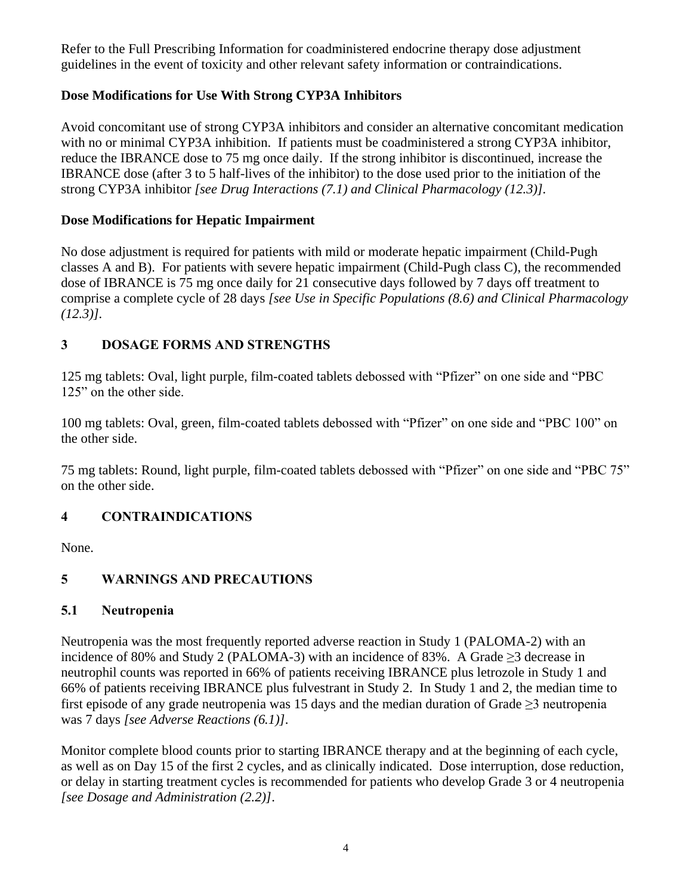Refer to the Full Prescribing Information for coadministered endocrine therapy dose adjustment guidelines in the event of toxicity and other relevant safety information or contraindications.

# **Dose Modifications for Use With Strong CYP3A Inhibitors**

Avoid concomitant use of strong CYP3A inhibitors and consider an alternative concomitant medication with no or minimal CYP3A inhibition. If patients must be coadministered a strong CYP3A inhibitor, reduce the IBRANCE dose to 75 mg once daily. If the strong inhibitor is discontinued, increase the IBRANCE dose (after 3 to 5 half-lives of the inhibitor) to the dose used prior to the initiation of the strong CYP3A inhibitor *[see Drug Interactions (7.1) and Clinical Pharmacology (12.3)].*

### **Dose Modifications for Hepatic Impairment**

No dose adjustment is required for patients with mild or moderate hepatic impairment (Child-Pugh classes A and B). For patients with severe hepatic impairment (Child-Pugh class C), the recommended dose of IBRANCE is 75 mg once daily for 21 consecutive days followed by 7 days off treatment to comprise a complete cycle of 28 days *[see Use in Specific Populations (8.6) and Clinical Pharmacology (12.3)].* 

# **3 DOSAGE FORMS AND STRENGTHS**

125 mg tablets: Oval, light purple, film-coated tablets debossed with "Pfizer" on one side and "PBC 125" on the other side.

100 mg tablets: Oval, green, film-coated tablets debossed with "Pfizer" on one side and "PBC 100" on the other side.

75 mg tablets: Round, light purple, film-coated tablets debossed with "Pfizer" on one side and "PBC 75" on the other side.

# **4 CONTRAINDICATIONS**

None.

# **5 WARNINGS AND PRECAUTIONS**

# **5.1 Neutropenia**

Neutropenia was the most frequently reported adverse reaction in Study 1 (PALOMA-2) with an incidence of 80% and Study 2 (PALOMA-3) with an incidence of 83%. A Grade  $\geq$ 3 decrease in neutrophil counts was reported in 66% of patients receiving IBRANCE plus letrozole in Study 1 and 66% of patients receiving IBRANCE plus fulvestrant in Study 2. In Study 1 and 2, the median time to first episode of any grade neutropenia was 15 days and the median duration of Grade  $\geq$ 3 neutropenia was 7 days *[see Adverse Reactions (6.1)]*.

Monitor complete blood counts prior to starting IBRANCE therapy and at the beginning of each cycle, as well as on Day 15 of the first 2 cycles, and as clinically indicated. Dose interruption, dose reduction, or delay in starting treatment cycles is recommended for patients who develop Grade 3 or 4 neutropenia *[see Dosage and Administration (2.2)]*.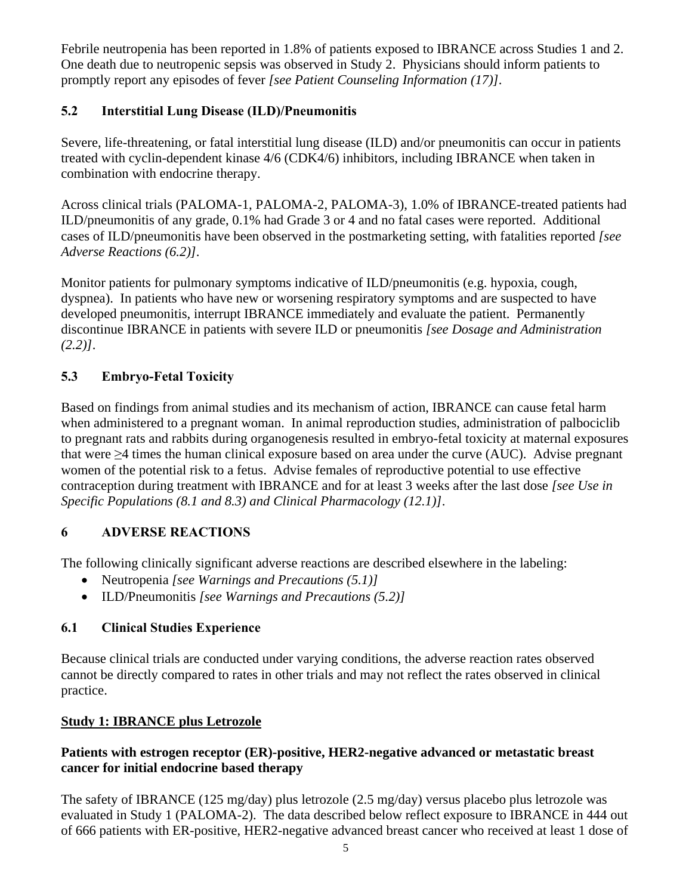Febrile neutropenia has been reported in 1.8% of patients exposed to IBRANCE across Studies 1 and 2. One death due to neutropenic sepsis was observed in Study 2. Physicians should inform patients to promptly report any episodes of fever *[see Patient Counseling Information (17)]*.

# **5.2 Interstitial Lung Disease (ILD)/Pneumonitis**

Severe, life-threatening, or fatal interstitial lung disease (ILD) and/or pneumonitis can occur in patients treated with cyclin-dependent kinase 4/6 (CDK4/6) inhibitors, including IBRANCE when taken in combination with endocrine therapy.

Across clinical trials (PALOMA-1, PALOMA-2, PALOMA-3), 1.0% of IBRANCE-treated patients had ILD/pneumonitis of any grade, 0.1% had Grade 3 or 4 and no fatal cases were reported. Additional cases of ILD/pneumonitis have been observed in the postmarketing setting, with fatalities reported *[see Adverse Reactions (6.2)]*.

Monitor patients for pulmonary symptoms indicative of ILD/pneumonitis (e.g. hypoxia, cough, dyspnea). In patients who have new or worsening respiratory symptoms and are suspected to have developed pneumonitis, interrupt IBRANCE immediately and evaluate the patient. Permanently discontinue IBRANCE in patients with severe ILD or pneumonitis *[see Dosage and Administration (2.2)]*.

# **5.3 Embryo-Fetal Toxicity**

Based on findings from animal studies and its mechanism of action, IBRANCE can cause fetal harm when administered to a pregnant woman. In animal reproduction studies, administration of palbociclib to pregnant rats and rabbits during organogenesis resulted in embryo-fetal toxicity at maternal exposures that were ≥4 times the human clinical exposure based on area under the curve (AUC). Advise pregnant women of the potential risk to a fetus. Advise females of reproductive potential to use effective contraception during treatment with IBRANCE and for at least 3 weeks after the last dose *[see Use in Specific Populations (8.1 and 8.3) and Clinical Pharmacology (12.1)]*.

# **6 ADVERSE REACTIONS**

The following clinically significant adverse reactions are described elsewhere in the labeling:

- Neutropenia *[see Warnings and Precautions (5.1)]*
- ILD/Pneumonitis *[see Warnings and Precautions (5.2)]*

# **6.1 Clinical Studies Experience**

Because clinical trials are conducted under varying conditions, the adverse reaction rates observed cannot be directly compared to rates in other trials and may not reflect the rates observed in clinical practice.

# **Study 1: IBRANCE plus Letrozole**

# **Patients with estrogen receptor (ER)-positive, HER2-negative advanced or metastatic breast cancer for initial endocrine based therapy**

The safety of IBRANCE (125 mg/day) plus letrozole (2.5 mg/day) versus placebo plus letrozole was evaluated in Study 1 (PALOMA-2). The data described below reflect exposure to IBRANCE in 444 out of 666 patients with ER-positive, HER2-negative advanced breast cancer who received at least 1 dose of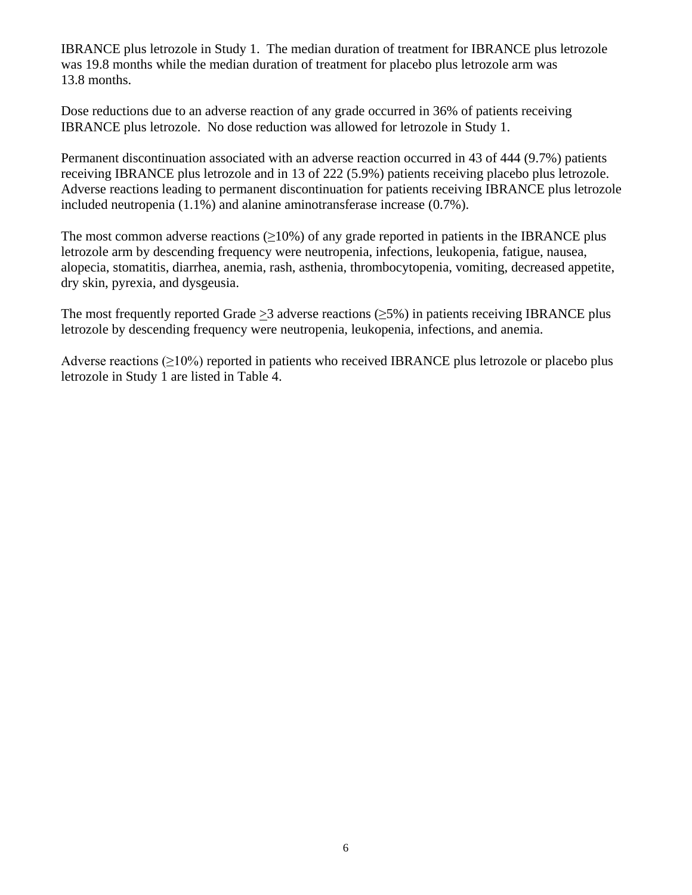IBRANCE plus letrozole in Study 1. The median duration of treatment for IBRANCE plus letrozole was 19.8 months while the median duration of treatment for placebo plus letrozole arm was 13.8 months.

Dose reductions due to an adverse reaction of any grade occurred in 36% of patients receiving IBRANCE plus letrozole. No dose reduction was allowed for letrozole in Study 1.

Permanent discontinuation associated with an adverse reaction occurred in 43 of 444 (9.7%) patients receiving IBRANCE plus letrozole and in 13 of 222 (5.9%) patients receiving placebo plus letrozole. Adverse reactions leading to permanent discontinuation for patients receiving IBRANCE plus letrozole included neutropenia (1.1%) and alanine aminotransferase increase (0.7%).

The most common adverse reactions  $(\geq 10\%)$  of any grade reported in patients in the IBRANCE plus letrozole arm by descending frequency were neutropenia, infections, leukopenia, fatigue, nausea, alopecia, stomatitis, diarrhea, anemia, rash, asthenia, thrombocytopenia, vomiting, decreased appetite, dry skin, pyrexia, and dysgeusia.

The most frequently reported Grade > 3 adverse reactions ( $\geq$ 5%) in patients receiving IBRANCE plus letrozole by descending frequency were neutropenia, leukopenia, infections, and anemia.

Adverse reactions  $(\geq 10\%)$  reported in patients who received IBRANCE plus letrozole or placebo plus letrozole in Study 1 are listed in Table 4.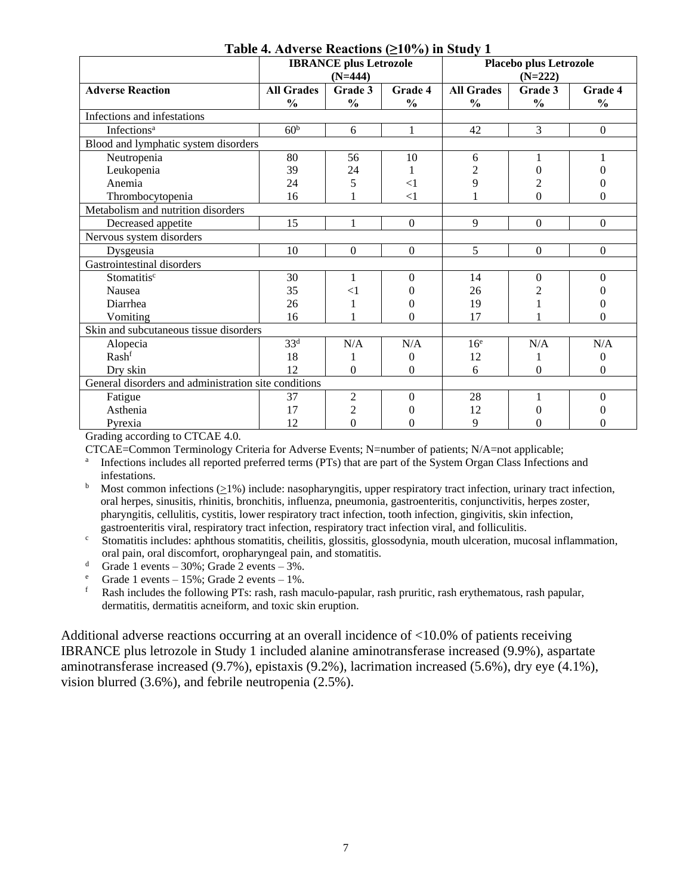|                                                      | <b>Table 4.</b> Au verse reactions (210/0) in Study 1<br>Placebo plus Letrozole |                |                  |                   |                  |                  |
|------------------------------------------------------|---------------------------------------------------------------------------------|----------------|------------------|-------------------|------------------|------------------|
|                                                      | <b>IBRANCE</b> plus Letrozole<br>$(N=444)$                                      |                |                  | $(N=222)$         |                  |                  |
| <b>Adverse Reaction</b>                              | <b>All Grades</b>                                                               | Grade 3        | Grade 4          | <b>All Grades</b> | Grade 3          | Grade 4          |
|                                                      | $\frac{0}{0}$                                                                   | $\frac{0}{0}$  | $\frac{0}{0}$    | $\frac{0}{0}$     | $\frac{0}{0}$    | $\frac{0}{0}$    |
| Infections and infestations                          |                                                                                 |                |                  |                   |                  |                  |
| Infections <sup>a</sup>                              | 60 <sup>b</sup>                                                                 | 6              | 1                | 42                | 3                | $\boldsymbol{0}$ |
| Blood and lymphatic system disorders                 |                                                                                 |                |                  |                   |                  |                  |
| Neutropenia                                          | 80                                                                              | 56             | 10               | 6                 |                  |                  |
| Leukopenia                                           | 39                                                                              | 24             |                  | 2                 | 0                |                  |
| Anemia                                               | 24                                                                              | 5              | $<$ 1            | 9                 | $\overline{c}$   | 0                |
| Thrombocytopenia                                     | 16                                                                              |                | $<$ 1            |                   | $\theta$         | 0                |
| Metabolism and nutrition disorders                   |                                                                                 |                |                  |                   |                  |                  |
| Decreased appetite                                   | 15                                                                              | 1              | $\boldsymbol{0}$ | 9                 | $\boldsymbol{0}$ | $\boldsymbol{0}$ |
| Nervous system disorders                             |                                                                                 |                |                  |                   |                  |                  |
| Dysgeusia                                            | 10                                                                              | $\mathbf{0}$   | $\mathbf{0}$     | 5                 | $\theta$         | $\boldsymbol{0}$ |
| Gastrointestinal disorders                           |                                                                                 |                |                  |                   |                  |                  |
| Stomatitisc                                          | 30                                                                              | 1              | $\Omega$         | 14                | $\Omega$         | $\Omega$         |
| Nausea                                               | 35                                                                              | $<$ 1          | 0                | 26                |                  | 0                |
| Diarrhea                                             | 26                                                                              |                | 0                | 19                |                  | 0                |
| Vomiting                                             | 16                                                                              |                | 0                | 17                |                  | 0                |
| Skin and subcutaneous tissue disorders               |                                                                                 |                |                  |                   |                  |                  |
| Alopecia                                             | 33 <sup>d</sup>                                                                 | N/A            | N/A              | 16 <sup>e</sup>   | N/A              | N/A              |
| Rashf                                                | 18                                                                              |                | 0                | 12                |                  | 0                |
| Dry skin                                             | 12                                                                              | $\Omega$       | $\theta$         | 6                 | $\theta$         | $\boldsymbol{0}$ |
| General disorders and administration site conditions |                                                                                 |                |                  |                   |                  |                  |
| Fatigue                                              | 37                                                                              | $\overline{2}$ | $\boldsymbol{0}$ | 28                |                  | 0                |
| Asthenia                                             | 17                                                                              | $\overline{2}$ | 0                | 12                | 0                |                  |
| Pyrexia                                              | 12                                                                              | $\Omega$       | 0                | 9                 | 0                | 0                |

### **Table 4. Adverse Reactions (≥10%) in Study 1**

Grading according to CTCAE 4.0.

CTCAE=Common Terminology Criteria for Adverse Events; N=number of patients; N/A=not applicable;

<sup>a</sup> Infections includes all reported preferred terms (PTs) that are part of the System Organ Class Infections and infestations.

- <sup>b</sup> Most common infections  $(>1\%)$  include: nasopharyngitis, upper respiratory tract infection, urinary tract infection, oral herpes, sinusitis, rhinitis, bronchitis, influenza, pneumonia, gastroenteritis, conjunctivitis, herpes zoster, pharyngitis, cellulitis, cystitis, lower respiratory tract infection, tooth infection, gingivitis, skin infection, gastroenteritis viral, respiratory tract infection, respiratory tract infection viral, and folliculitis.
- <sup>c</sup> Stomatitis includes: aphthous stomatitis, cheilitis, glossitis, glossodynia, mouth ulceration, mucosal inflammation, oral pain, oral discomfort, oropharyngeal pain, and stomatitis.

<sup>d</sup> Grade 1 events – 30%; Grade 2 events – 3%.

<sup>e</sup> Grade 1 events – 15%; Grade 2 events – 1%.<br> **Eash includes the following PTs**: rash rash n

<sup>f</sup> Rash includes the following PTs: rash, rash maculo-papular, rash pruritic, rash erythematous, rash papular, dermatitis, dermatitis acneiform, and toxic skin eruption.

Additional adverse reactions occurring at an overall incidence of <10.0% of patients receiving IBRANCE plus letrozole in Study 1 included alanine aminotransferase increased (9.9%), aspartate aminotransferase increased (9.7%), epistaxis (9.2%), lacrimation increased (5.6%), dry eye (4.1%), vision blurred (3.6%), and febrile neutropenia (2.5%).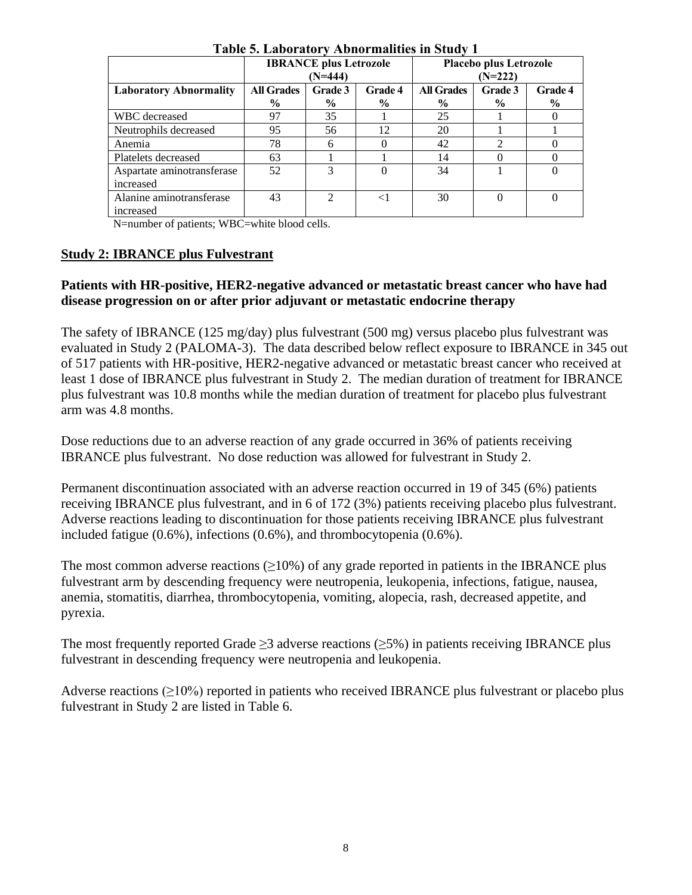| Table of Laboratory Troublinanties in Stuuy T |                               |                |                |                               |                             |                |
|-----------------------------------------------|-------------------------------|----------------|----------------|-------------------------------|-----------------------------|----------------|
|                                               | <b>IBRANCE</b> plus Letrozole |                |                | <b>Placebo plus Letrozole</b> |                             |                |
|                                               |                               | (N=444)        |                | $(N=222)$                     |                             |                |
| <b>Laboratory Abnormality</b>                 | <b>All Grades</b>             | Grade 3        | <b>Grade 4</b> | <b>All Grades</b>             | Grade 3                     | <b>Grade 4</b> |
|                                               | $\frac{0}{0}$                 | $\frac{0}{0}$  | $\%$           | $\frac{6}{9}$                 | $\%$                        | $\frac{6}{9}$  |
| WBC decreased                                 | 97                            | 35             |                | 25                            |                             |                |
| Neutrophils decreased                         | 95                            | 56             | 12             | 20                            |                             |                |
| Anemia                                        | 78                            | 6              |                | 42                            | $\mathcal{D}_{\mathcal{L}}$ |                |
| Platelets decreased                           | 63                            |                |                | 14                            |                             |                |
| Aspartate aminotransferase                    | 52                            | 3              | 0              | 34                            |                             | $\theta$       |
| increased                                     |                               |                |                |                               |                             |                |
| Alanine aminotransferase                      | 43                            | $\mathfrak{D}$ | ${<}1$         | 30                            | $\Omega$                    | $\theta$       |
| increased                                     |                               |                |                |                               |                             |                |

**Table 5. Laboratory Abnormalities in Study 1**

N=number of patients; WBC=white blood cells.

### **Study 2: IBRANCE plus Fulvestrant**

### **Patients with HR-positive, HER2-negative advanced or metastatic breast cancer who have had disease progression on or after prior adjuvant or metastatic endocrine therapy**

The safety of IBRANCE (125 mg/day) plus fulvestrant (500 mg) versus placebo plus fulvestrant was evaluated in Study 2 (PALOMA-3). The data described below reflect exposure to IBRANCE in 345 out of 517 patients with HR-positive, HER2-negative advanced or metastatic breast cancer who received at least 1 dose of IBRANCE plus fulvestrant in Study 2. The median duration of treatment for IBRANCE plus fulvestrant was 10.8 months while the median duration of treatment for placebo plus fulvestrant arm was 4.8 months.

Dose reductions due to an adverse reaction of any grade occurred in 36% of patients receiving IBRANCE plus fulvestrant. No dose reduction was allowed for fulvestrant in Study 2.

Permanent discontinuation associated with an adverse reaction occurred in 19 of 345 (6%) patients receiving IBRANCE plus fulvestrant, and in 6 of 172 (3%) patients receiving placebo plus fulvestrant. Adverse reactions leading to discontinuation for those patients receiving IBRANCE plus fulvestrant included fatigue (0.6%), infections (0.6%), and thrombocytopenia (0.6%).

The most common adverse reactions  $(\geq 10\%)$  of any grade reported in patients in the IBRANCE plus fulvestrant arm by descending frequency were neutropenia, leukopenia, infections, fatigue, nausea, anemia, stomatitis, diarrhea, thrombocytopenia, vomiting, alopecia, rash, decreased appetite, and pyrexia.

The most frequently reported Grade  $\geq$ 3 adverse reactions ( $\geq$ 5%) in patients receiving IBRANCE plus fulvestrant in descending frequency were neutropenia and leukopenia.

Adverse reactions  $(\geq 10\%)$  reported in patients who received IBRANCE plus fulvestrant or placebo plus fulvestrant in Study 2 are listed in Table 6.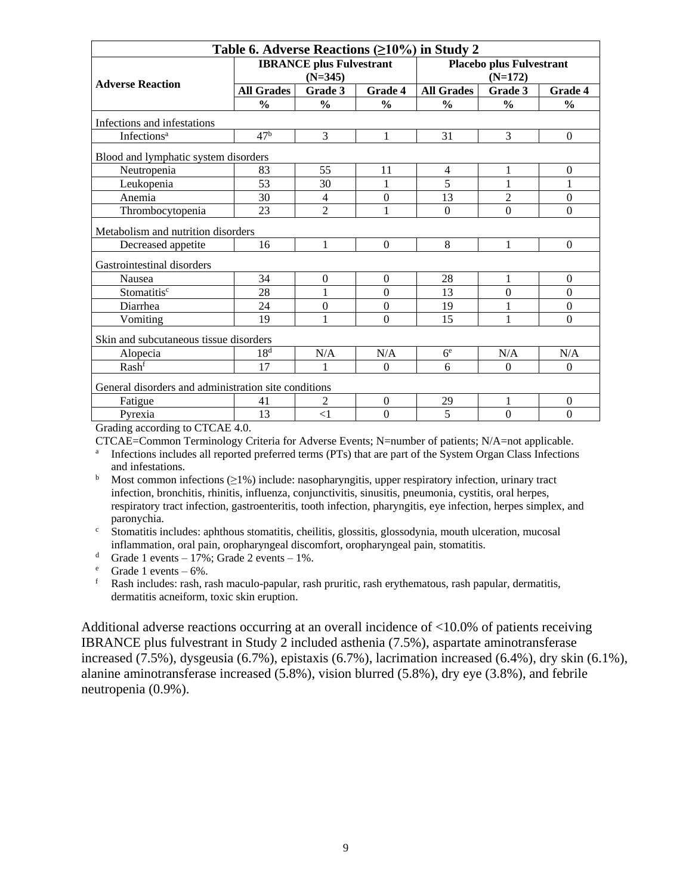| Table 6. Adverse Reactions ( $\geq$ 10%) in Study 2  |                   |                                                                                 |                |                   |                |                  |
|------------------------------------------------------|-------------------|---------------------------------------------------------------------------------|----------------|-------------------|----------------|------------------|
| <b>Adverse Reaction</b>                              |                   | <b>IBRANCE</b> plus Fulvestrant<br><b>Placebo plus Fulvestrant</b><br>$(N=345)$ |                | $(N=172)$         |                |                  |
|                                                      | <b>All Grades</b> | Grade 3                                                                         | <b>Grade 4</b> | <b>All Grades</b> | Grade 3        | Grade 4          |
|                                                      | $\frac{0}{0}$     | $\frac{0}{0}$                                                                   | $\frac{0}{0}$  | $\frac{0}{0}$     | $\frac{0}{0}$  | $\frac{0}{0}$    |
| Infections and infestations                          |                   |                                                                                 |                |                   |                |                  |
| Infections <sup>a</sup>                              | 47 <sup>b</sup>   | 3                                                                               | 1              | 31                | 3              | $\theta$         |
| Blood and lymphatic system disorders                 |                   |                                                                                 |                |                   |                |                  |
| Neutropenia                                          | 83                | 55                                                                              | 11             | 4                 | 1              | $\mathbf{0}$     |
| Leukopenia                                           | 53                | 30                                                                              |                | 5                 | 1              | 1                |
| Anemia                                               | 30                | 4                                                                               | $\mathbf{0}$   | 13                | $\overline{2}$ | $\mathbf{0}$     |
| Thrombocytopenia                                     | 23                | $\overline{c}$                                                                  |                | $\mathbf{0}$      | $\overline{0}$ | $\boldsymbol{0}$ |
| Metabolism and nutrition disorders                   |                   |                                                                                 |                |                   |                |                  |
| Decreased appetite                                   | 16                | $\mathbf{1}$                                                                    | $\Omega$       | 8                 | 1              | $\boldsymbol{0}$ |
| Gastrointestinal disorders                           |                   |                                                                                 |                |                   |                |                  |
| Nausea                                               | 34                | $\boldsymbol{0}$                                                                | $\Omega$       | 28                | 1              | $\theta$         |
| Stomatitis <sup>c</sup>                              | 28                | 1                                                                               | $\Omega$       | 13                | $\Omega$       | $\boldsymbol{0}$ |
| Diarrhea                                             | 24                | $\boldsymbol{0}$                                                                | $\theta$       | 19                | 1              | $\boldsymbol{0}$ |
| Vomiting                                             | 19                | 1                                                                               | $\Omega$       | 15                | 1              | $\theta$         |
| Skin and subcutaneous tissue disorders               |                   |                                                                                 |                |                   |                |                  |
| Alopecia                                             | 18 <sup>d</sup>   | N/A                                                                             | N/A            | 6 <sup>e</sup>    | N/A            | N/A              |
| Rashf                                                | 17                | 1                                                                               | $\theta$       | 6                 | $\Omega$       | $\theta$         |
| General disorders and administration site conditions |                   |                                                                                 |                |                   |                |                  |
| Fatigue                                              | 41                | 2                                                                               | $\theta$       | 29                | 1              | $\boldsymbol{0}$ |
| Pyrexia                                              | 13                | $<$ 1                                                                           | $\theta$       | 5                 | $\overline{0}$ | $\mathbf{0}$     |

Grading according to CTCAE 4.0.

CTCAE=Common Terminology Criteria for Adverse Events; N=number of patients; N/A=not applicable.

a Infections includes all reported preferred terms (PTs) that are part of the System Organ Class Infections and infestations.

 $b$  Most common infections ( $>1\%$ ) include: nasopharyngitis, upper respiratory infection, urinary tract infection, bronchitis, rhinitis, influenza, conjunctivitis, sinusitis, pneumonia, cystitis, oral herpes, respiratory tract infection, gastroenteritis, tooth infection, pharyngitis, eye infection, herpes simplex, and paronychia.

<sup>c</sup> Stomatitis includes: aphthous stomatitis, cheilitis, glossitis, glossodynia, mouth ulceration, mucosal inflammation, oral pain, oropharyngeal discomfort, oropharyngeal pain, stomatitis.

<sup>d</sup> Grade 1 events – 17%; Grade 2 events – 1%.

 $^{\circ}$  Grade 1 events – 6%.

<sup>f</sup> Rash includes: rash, rash maculo-papular, rash pruritic, rash erythematous, rash papular, dermatitis, dermatitis acneiform, toxic skin eruption.

Additional adverse reactions occurring at an overall incidence of <10.0% of patients receiving IBRANCE plus fulvestrant in Study 2 included asthenia (7.5%), aspartate aminotransferase increased (7.5%), dysgeusia (6.7%), epistaxis (6.7%), lacrimation increased (6.4%), dry skin (6.1%), alanine aminotransferase increased (5.8%), vision blurred (5.8%), dry eye (3.8%), and febrile neutropenia (0.9%).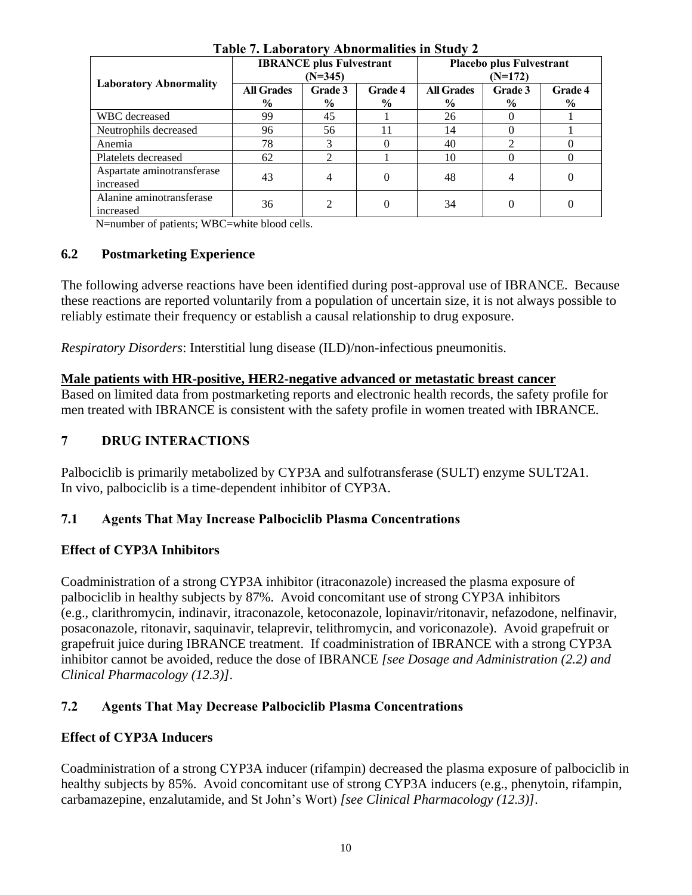|                                         |                           | <b>IBRANCE</b> plus Fulvestrant<br>$(N=345)$ |                          |                                    | <b>Placebo plus Fulvestrant</b><br>$(N=172)$ |                 |  |
|-----------------------------------------|---------------------------|----------------------------------------------|--------------------------|------------------------------------|----------------------------------------------|-----------------|--|
| <b>Laboratory Abnormality</b>           | <b>All Grades</b><br>$\%$ | Grade 3<br>$\%$                              | Grade 4<br>$\frac{6}{9}$ | <b>All Grades</b><br>$\frac{6}{9}$ | Grade 3<br>$\frac{0}{0}$                     | Grade 4<br>$\%$ |  |
| WBC decreased                           | 99                        | 45                                           |                          | 26                                 |                                              |                 |  |
| Neutrophils decreased                   | 96                        | 56                                           |                          | 14                                 |                                              |                 |  |
| Anemia                                  | 78                        |                                              |                          | 40                                 | ↑                                            |                 |  |
| Platelets decreased                     | 62                        |                                              |                          | 10                                 |                                              |                 |  |
| Aspartate aminotransferase<br>increased | 43                        | $\overline{4}$                               |                          | 48                                 | 4                                            | 0               |  |
| Alanine aminotransferase<br>increased   | 36                        | $\mathcal{D}_{\mathcal{L}}$                  |                          | 34                                 | 0                                            | 0               |  |

**Table 7. Laboratory Abnormalities in Study 2**

N=number of patients; WBC=white blood cells.

### **6.2 Postmarketing Experience**

The following adverse reactions have been identified during post-approval use of IBRANCE. Because these reactions are reported voluntarily from a population of uncertain size, it is not always possible to reliably estimate their frequency or establish a causal relationship to drug exposure.

*Respiratory Disorders*: Interstitial lung disease (ILD)/non-infectious pneumonitis.

### **Male patients with HR-positive, HER2-negative advanced or metastatic breast cancer**

Based on limited data from postmarketing reports and electronic health records, the safety profile for men treated with IBRANCE is consistent with the safety profile in women treated with IBRANCE.

# **7 DRUG INTERACTIONS**

Palbociclib is primarily metabolized by CYP3A and sulfotransferase (SULT) enzyme SULT2A1. In vivo, palbociclib is a time-dependent inhibitor of CYP3A.

### **7.1 Agents That May Increase Palbociclib Plasma Concentrations**

# **Effect of CYP3A Inhibitors**

Coadministration of a strong CYP3A inhibitor (itraconazole) increased the plasma exposure of palbociclib in healthy subjects by 87%. Avoid concomitant use of strong CYP3A inhibitors (e.g., clarithromycin, indinavir, itraconazole, ketoconazole, lopinavir/ritonavir, nefazodone, nelfinavir, posaconazole, ritonavir, saquinavir, telaprevir, telithromycin, and voriconazole). Avoid grapefruit or grapefruit juice during IBRANCE treatment. If coadministration of IBRANCE with a strong CYP3A inhibitor cannot be avoided, reduce the dose of IBRANCE *[see Dosage and Administration (2.2) and Clinical Pharmacology (12.3)]*.

# **7.2 Agents That May Decrease Palbociclib Plasma Concentrations**

# **Effect of CYP3A Inducers**

Coadministration of a strong CYP3A inducer (rifampin) decreased the plasma exposure of palbociclib in healthy subjects by 85%. Avoid concomitant use of strong CYP3A inducers (e.g., phenytoin, rifampin, carbamazepine, enzalutamide, and St John's Wort) *[see Clinical Pharmacology (12.3)]*.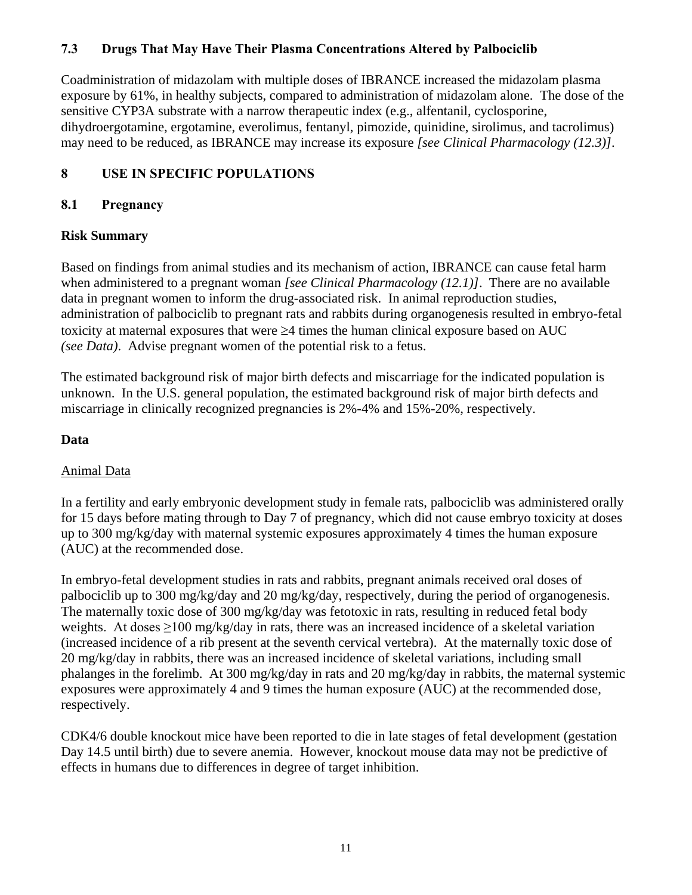### **7.3 Drugs That May Have Their Plasma Concentrations Altered by Palbociclib**

Coadministration of midazolam with multiple doses of IBRANCE increased the midazolam plasma exposure by 61%, in healthy subjects, compared to administration of midazolam alone. The dose of the sensitive CYP3A substrate with a narrow therapeutic index (e.g., alfentanil, cyclosporine, dihydroergotamine, ergotamine, everolimus, fentanyl, pimozide, quinidine, sirolimus, and tacrolimus) may need to be reduced, as IBRANCE may increase its exposure *[see Clinical Pharmacology (12.3)]*.

### **8 USE IN SPECIFIC POPULATIONS**

### **8.1 Pregnancy**

### **Risk Summary**

Based on findings from animal studies and its mechanism of action, IBRANCE can cause fetal harm when administered to a pregnant woman *[see Clinical Pharmacology (12.1)]*. There are no available data in pregnant women to inform the drug-associated risk. In animal reproduction studies, administration of palbociclib to pregnant rats and rabbits during organogenesis resulted in embryo-fetal toxicity at maternal exposures that were  $\geq$ 4 times the human clinical exposure based on AUC *(see Data)*. Advise pregnant women of the potential risk to a fetus.

The estimated background risk of major birth defects and miscarriage for the indicated population is unknown. In the U.S. general population, the estimated background risk of major birth defects and miscarriage in clinically recognized pregnancies is 2%-4% and 15%-20%, respectively.

### **Data**

### Animal Data

In a fertility and early embryonic development study in female rats, palbociclib was administered orally for 15 days before mating through to Day 7 of pregnancy, which did not cause embryo toxicity at doses up to 300 mg/kg/day with maternal systemic exposures approximately 4 times the human exposure (AUC) at the recommended dose.

In embryo-fetal development studies in rats and rabbits, pregnant animals received oral doses of palbociclib up to 300 mg/kg/day and 20 mg/kg/day, respectively, during the period of organogenesis. The maternally toxic dose of 300 mg/kg/day was fetotoxic in rats, resulting in reduced fetal body weights. At doses ≥100 mg/kg/day in rats, there was an increased incidence of a skeletal variation (increased incidence of a rib present at the seventh cervical vertebra). At the maternally toxic dose of 20 mg/kg/day in rabbits, there was an increased incidence of skeletal variations, including small phalanges in the forelimb. At 300 mg/kg/day in rats and 20 mg/kg/day in rabbits, the maternal systemic exposures were approximately 4 and 9 times the human exposure (AUC) at the recommended dose, respectively.

CDK4/6 double knockout mice have been reported to die in late stages of fetal development (gestation Day 14.5 until birth) due to severe anemia. However, knockout mouse data may not be predictive of effects in humans due to differences in degree of target inhibition.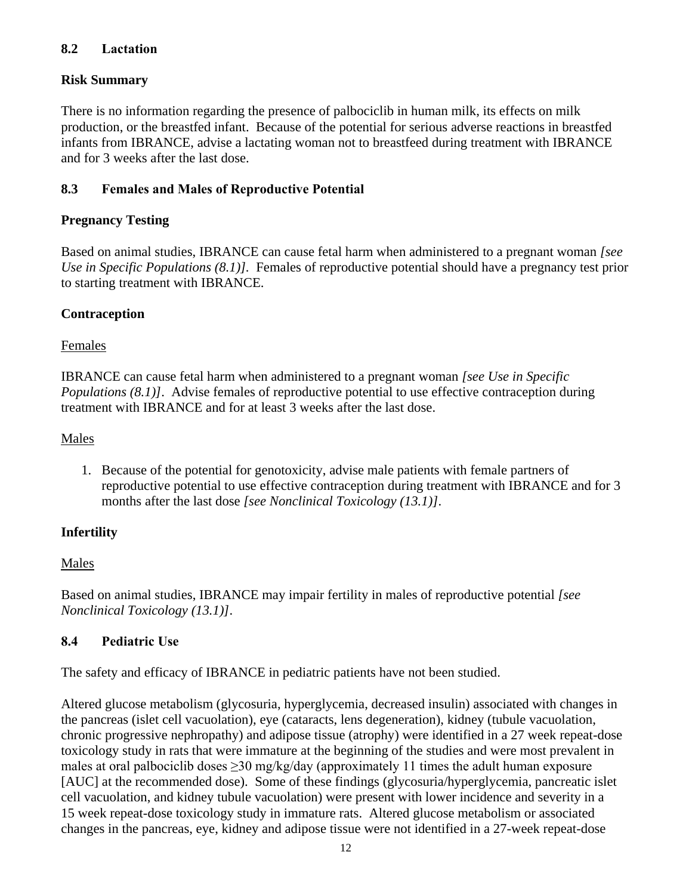### **8.2 Lactation**

### **Risk Summary**

There is no information regarding the presence of palbociclib in human milk, its effects on milk production, or the breastfed infant. Because of the potential for serious adverse reactions in breastfed infants from IBRANCE, advise a lactating woman not to breastfeed during treatment with IBRANCE and for 3 weeks after the last dose.

### **8.3 Females and Males of Reproductive Potential**

### **Pregnancy Testing**

Based on animal studies, IBRANCE can cause fetal harm when administered to a pregnant woman *[see Use in Specific Populations (8.1)].* Females of reproductive potential should have a pregnancy test prior to starting treatment with IBRANCE.

### **Contraception**

### Females

IBRANCE can cause fetal harm when administered to a pregnant woman *[see Use in Specific Populations (8.1)]*. Advise females of reproductive potential to use effective contraception during treatment with IBRANCE and for at least 3 weeks after the last dose.

### Males

1. Because of the potential for genotoxicity, advise male patients with female partners of reproductive potential to use effective contraception during treatment with IBRANCE and for 3 months after the last dose *[see Nonclinical Toxicology (13.1)]*.

# **Infertility**

### Males

Based on animal studies, IBRANCE may impair fertility in males of reproductive potential *[see Nonclinical Toxicology (13.1)]*.

# **8.4 Pediatric Use**

The safety and efficacy of IBRANCE in pediatric patients have not been studied.

Altered glucose metabolism (glycosuria, hyperglycemia, decreased insulin) associated with changes in the pancreas (islet cell vacuolation), eye (cataracts, lens degeneration), kidney (tubule vacuolation, chronic progressive nephropathy) and adipose tissue (atrophy) were identified in a 27 week repeat-dose toxicology study in rats that were immature at the beginning of the studies and were most prevalent in males at oral palbociclib doses  $\geq$ 30 mg/kg/day (approximately 11 times the adult human exposure [AUC] at the recommended dose). Some of these findings (glycosuria/hyperglycemia, pancreatic islet cell vacuolation, and kidney tubule vacuolation) were present with lower incidence and severity in a 15 week repeat-dose toxicology study in immature rats. Altered glucose metabolism or associated changes in the pancreas, eye, kidney and adipose tissue were not identified in a 27-week repeat-dose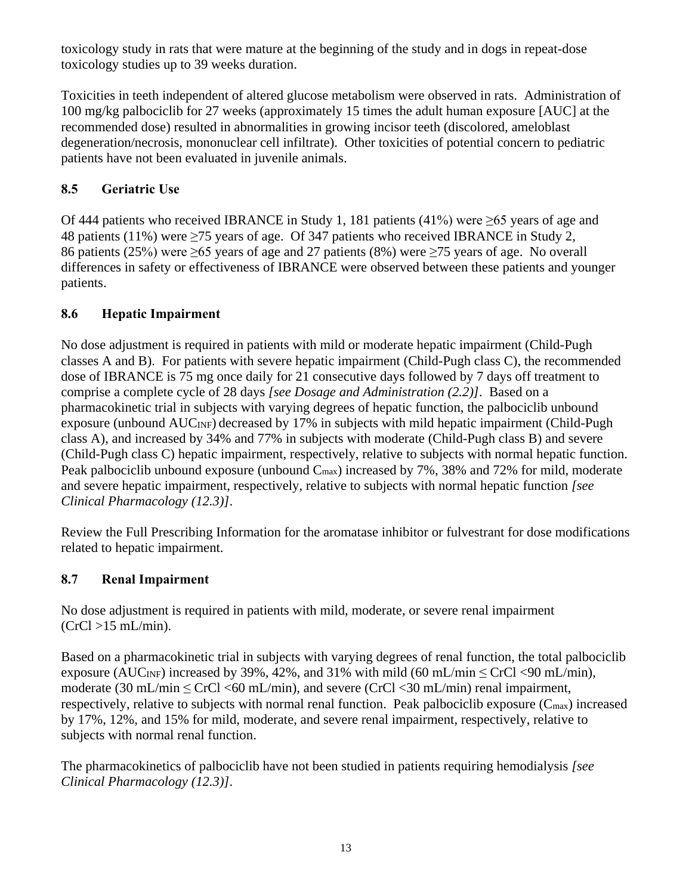toxicology study in rats that were mature at the beginning of the study and in dogs in repeat-dose toxicology studies up to 39 weeks duration.

Toxicities in teeth independent of altered glucose metabolism were observed in rats. Administration of 100 mg/kg palbociclib for 27 weeks (approximately 15 times the adult human exposure [AUC] at the recommended dose) resulted in abnormalities in growing incisor teeth (discolored, ameloblast degeneration/necrosis, mononuclear cell infiltrate). Other toxicities of potential concern to pediatric patients have not been evaluated in juvenile animals.

# **8.5 Geriatric Use**

Of 444 patients who received IBRANCE in Study 1, 181 patients (41%) were ≥65 years of age and 48 patients (11%) were  $\geq$ 75 years of age. Of 347 patients who received IBRANCE in Study 2, 86 patients (25%) were ≥65 years of age and 27 patients (8%) were ≥75 years of age. No overall differences in safety or effectiveness of IBRANCE were observed between these patients and younger patients.

# **8.6 Hepatic Impairment**

No dose adjustment is required in patients with mild or moderate hepatic impairment (Child-Pugh classes A and B). For patients with severe hepatic impairment (Child-Pugh class C), the recommended dose of IBRANCE is 75 mg once daily for 21 consecutive days followed by 7 days off treatment to comprise a complete cycle of 28 days *[see Dosage and Administration (2.2)]*. Based on a pharmacokinetic trial in subjects with varying degrees of hepatic function, the palbociclib unbound exposure (unbound AUC<sub>INF</sub>) decreased by 17% in subjects with mild hepatic impairment (Child-Pugh class A), and increased by 34% and 77% in subjects with moderate (Child-Pugh class B) and severe (Child-Pugh class C) hepatic impairment, respectively, relative to subjects with normal hepatic function. Peak palbociclib unbound exposure (unbound C<sub>max</sub>) increased by 7%, 38% and 72% for mild, moderate and severe hepatic impairment, respectively, relative to subjects with normal hepatic function *[see Clinical Pharmacology (12.3)]*.

Review the Full Prescribing Information for the aromatase inhibitor or fulvestrant for dose modifications related to hepatic impairment.

# **8.7 Renal Impairment**

No dose adjustment is required in patients with mild, moderate, or severe renal impairment  $(CrCl > 15$  mL/min).

Based on a pharmacokinetic trial in subjects with varying degrees of renal function, the total palbociclib exposure (AUC<sub>INF</sub>) increased by 39%, 42%, and 31% with mild (60 mL/min  $\leq$  CrCl  $\lt 90$  mL/min), moderate (30 mL/min  $\leq$  CrCl  $\lt 60$  mL/min), and severe (CrCl  $\lt 30$  mL/min) renal impairment, respectively, relative to subjects with normal renal function. Peak palbociclib exposure  $(C_{\text{max}})$  increased by 17%, 12%, and 15% for mild, moderate, and severe renal impairment, respectively, relative to subjects with normal renal function.

The pharmacokinetics of palbociclib have not been studied in patients requiring hemodialysis *[see Clinical Pharmacology (12.3)]*.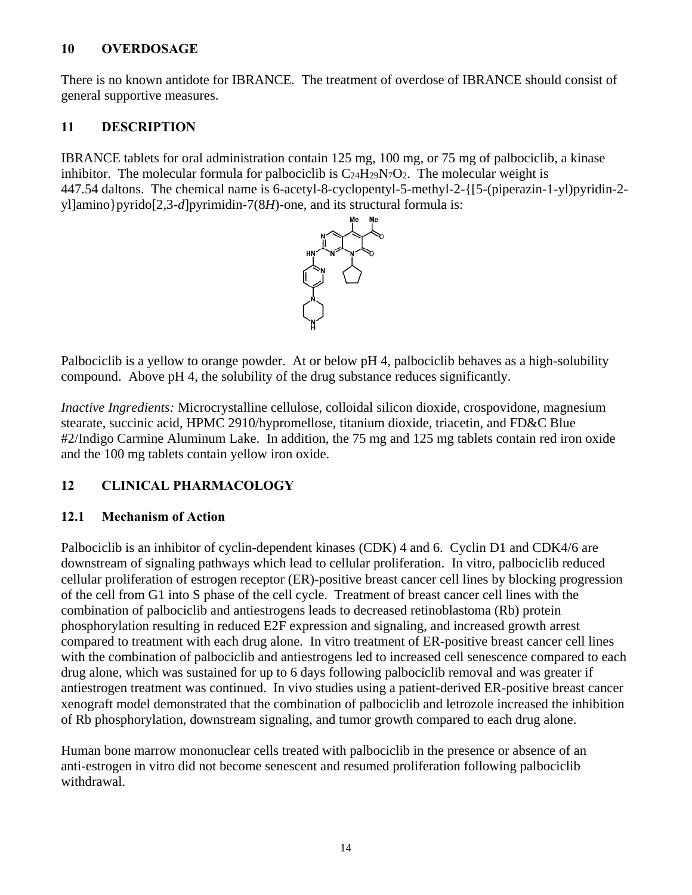### **10 OVERDOSAGE**

There is no known antidote for IBRANCE. The treatment of overdose of IBRANCE should consist of general supportive measures.

### **11 DESCRIPTION**

IBRANCE tablets for oral administration contain 125 mg, 100 mg, or 75 mg of palbociclib, a kinase inhibitor. The molecular formula for palbociclib is  $C_{24}H_{29}N_7O_2$ . The molecular weight is 447.54 daltons. The chemical name is 6-acetyl-8-cyclopentyl-5-methyl-2-{[5-(piperazin-1-yl)pyridin-2 yl]amino}pyrido[2,3-*d*]pyrimidin-7(8*H*)-one, and its structural formula is:



Palbociclib is a yellow to orange powder. At or below pH 4, palbociclib behaves as a high-solubility compound. Above pH 4, the solubility of the drug substance reduces significantly.

*Inactive Ingredients:* Microcrystalline cellulose, colloidal silicon dioxide, crospovidone, magnesium stearate, succinic acid, HPMC 2910/hypromellose, titanium dioxide, triacetin, and FD&C Blue #2/Indigo Carmine Aluminum Lake. In addition, the 75 mg and 125 mg tablets contain red iron oxide and the 100 mg tablets contain yellow iron oxide.

# **12 CLINICAL PHARMACOLOGY**

# **12.1 Mechanism of Action**

Palbociclib is an inhibitor of cyclin-dependent kinases (CDK) 4 and 6. Cyclin D1 and CDK4/6 are downstream of signaling pathways which lead to cellular proliferation. In vitro, palbociclib reduced cellular proliferation of estrogen receptor (ER)-positive breast cancer cell lines by blocking progression of the cell from G1 into S phase of the cell cycle. Treatment of breast cancer cell lines with the combination of palbociclib and antiestrogens leads to decreased retinoblastoma (Rb) protein phosphorylation resulting in reduced E2F expression and signaling, and increased growth arrest compared to treatment with each drug alone. In vitro treatment of ER-positive breast cancer cell lines with the combination of palbociclib and antiestrogens led to increased cell senescence compared to each drug alone, which was sustained for up to 6 days following palbociclib removal and was greater if antiestrogen treatment was continued. In vivo studies using a patient-derived ER-positive breast cancer xenograft model demonstrated that the combination of palbociclib and letrozole increased the inhibition of Rb phosphorylation, downstream signaling, and tumor growth compared to each drug alone.

Human bone marrow mononuclear cells treated with palbociclib in the presence or absence of an anti-estrogen in vitro did not become senescent and resumed proliferation following palbociclib withdrawal.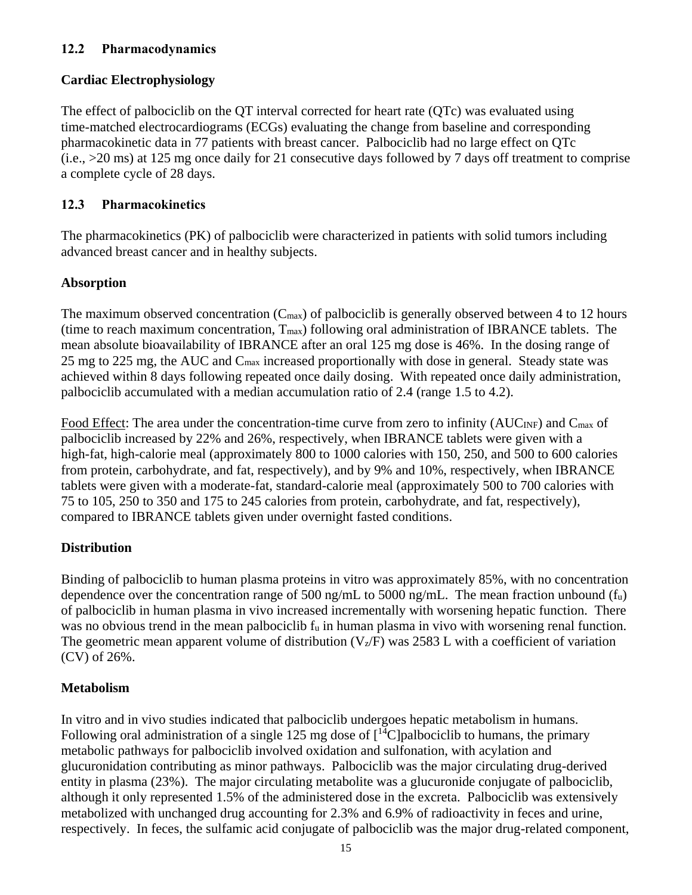### **12.2 Pharmacodynamics**

### **Cardiac Electrophysiology**

The effect of palbociclib on the QT interval corrected for heart rate (QTc) was evaluated using time-matched electrocardiograms (ECGs) evaluating the change from baseline and corresponding pharmacokinetic data in 77 patients with breast cancer. Palbociclib had no large effect on QTc (i.e., >20 ms) at 125 mg once daily for 21 consecutive days followed by 7 days off treatment to comprise a complete cycle of 28 days.

### **12.3 Pharmacokinetics**

The pharmacokinetics (PK) of palbociclib were characterized in patients with solid tumors including advanced breast cancer and in healthy subjects.

### **Absorption**

The maximum observed concentration  $(C_{\text{max}})$  of palbociclib is generally observed between 4 to 12 hours (time to reach maximum concentration,  $T_{\text{max}}$ ) following oral administration of IBRANCE tablets. The mean absolute bioavailability of IBRANCE after an oral 125 mg dose is 46%. In the dosing range of 25 mg to 225 mg, the AUC and Cmax increased proportionally with dose in general. Steady state was achieved within 8 days following repeated once daily dosing. With repeated once daily administration, palbociclib accumulated with a median accumulation ratio of 2.4 (range 1.5 to 4.2).

Food Effect: The area under the concentration-time curve from zero to infinity ( $AUC_{INF}$ ) and  $C_{max}$  of palbociclib increased by 22% and 26%, respectively, when IBRANCE tablets were given with a high-fat, high-calorie meal (approximately 800 to 1000 calories with 150, 250, and 500 to 600 calories from protein, carbohydrate, and fat, respectively), and by 9% and 10%, respectively, when IBRANCE tablets were given with a moderate-fat, standard-calorie meal (approximately 500 to 700 calories with 75 to 105, 250 to 350 and 175 to 245 calories from protein, carbohydrate, and fat, respectively), compared to IBRANCE tablets given under overnight fasted conditions.

### **Distribution**

Binding of palbociclib to human plasma proteins in vitro was approximately 85%, with no concentration dependence over the concentration range of 500 ng/mL to 5000 ng/mL. The mean fraction unbound  $(f_u)$ of palbociclib in human plasma in vivo increased incrementally with worsening hepatic function. There was no obvious trend in the mean palbociclib f<sub>u</sub> in human plasma in vivo with worsening renal function. The geometric mean apparent volume of distribution  $(V_z/F)$  was 2583 L with a coefficient of variation (CV) of 26%.

### **Metabolism**

In vitro and in vivo studies indicated that palbociclib undergoes hepatic metabolism in humans. Following oral administration of a single 125 mg dose of  $\lceil {^{14}C} \rceil$ palbociclib to humans, the primary metabolic pathways for palbociclib involved oxidation and sulfonation, with acylation and glucuronidation contributing as minor pathways. Palbociclib was the major circulating drug-derived entity in plasma (23%). The major circulating metabolite was a glucuronide conjugate of palbociclib, although it only represented 1.5% of the administered dose in the excreta. Palbociclib was extensively metabolized with unchanged drug accounting for 2.3% and 6.9% of radioactivity in feces and urine, respectively. In feces, the sulfamic acid conjugate of palbociclib was the major drug-related component,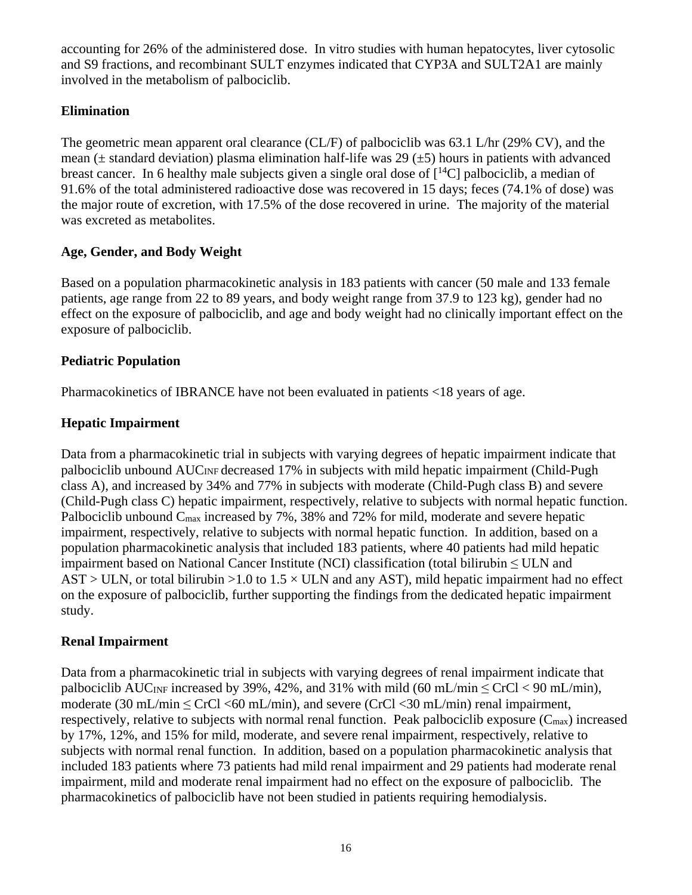accounting for 26% of the administered dose. In vitro studies with human hepatocytes, liver cytosolic and S9 fractions, and recombinant SULT enzymes indicated that CYP3A and SULT2A1 are mainly involved in the metabolism of palbociclib.

## **Elimination**

The geometric mean apparent oral clearance (CL/F) of palbociclib was 63.1 L/hr (29% CV), and the mean ( $\pm$  standard deviation) plasma elimination half-life was 29 ( $\pm$ 5) hours in patients with advanced breast cancer. In 6 healthy male subjects given a single oral dose of  $[{}^{14}C]$  palbociclib, a median of 91.6% of the total administered radioactive dose was recovered in 15 days; feces (74.1% of dose) was the major route of excretion, with 17.5% of the dose recovered in urine. The majority of the material was excreted as metabolites.

### **Age, Gender, and Body Weight**

Based on a population pharmacokinetic analysis in 183 patients with cancer (50 male and 133 female patients, age range from 22 to 89 years, and body weight range from 37.9 to 123 kg), gender had no effect on the exposure of palbociclib, and age and body weight had no clinically important effect on the exposure of palbociclib.

### **Pediatric Population**

Pharmacokinetics of IBRANCE have not been evaluated in patients <18 years of age.

### **Hepatic Impairment**

Data from a pharmacokinetic trial in subjects with varying degrees of hepatic impairment indicate that palbociclib unbound AUC<sub>INF</sub> decreased 17% in subjects with mild hepatic impairment (Child-Pugh class A), and increased by 34% and 77% in subjects with moderate (Child-Pugh class B) and severe (Child-Pugh class C) hepatic impairment, respectively, relative to subjects with normal hepatic function. Palbociclib unbound Cmax increased by 7%, 38% and 72% for mild, moderate and severe hepatic impairment, respectively, relative to subjects with normal hepatic function. In addition, based on a population pharmacokinetic analysis that included 183 patients, where 40 patients had mild hepatic impairment based on National Cancer Institute (NCI) classification (total bilirubin  $\leq$  ULN and  $AST > ULN$ , or total bilirubin >1.0 to  $1.5 \times ULN$  and any AST), mild hepatic impairment had no effect on the exposure of palbociclib, further supporting the findings from the dedicated hepatic impairment study.

### **Renal Impairment**

Data from a pharmacokinetic trial in subjects with varying degrees of renal impairment indicate that palbociclib AUC<sub>INF</sub> increased by 39%, 42%, and 31% with mild (60 mL/min  $\leq$  CrCl  $<$  90 mL/min), moderate (30 mL/min  $\leq$  CrCl  $\leq$  60 mL/min), and severe (CrCl  $\leq$  30 mL/min) renal impairment, respectively, relative to subjects with normal renal function. Peak palbociclib exposure  $(C_{\text{max}})$  increased by 17%, 12%, and 15% for mild, moderate, and severe renal impairment, respectively, relative to subjects with normal renal function. In addition, based on a population pharmacokinetic analysis that included 183 patients where 73 patients had mild renal impairment and 29 patients had moderate renal impairment, mild and moderate renal impairment had no effect on the exposure of palbociclib. The pharmacokinetics of palbociclib have not been studied in patients requiring hemodialysis.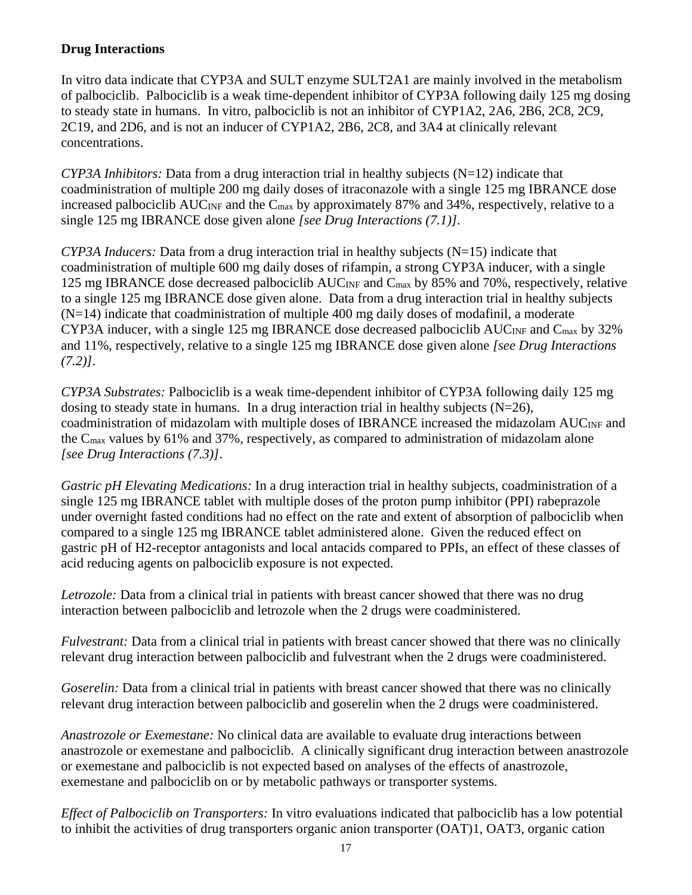### **Drug Interactions**

In vitro data indicate that CYP3A and SULT enzyme SULT2A1 are mainly involved in the metabolism of palbociclib. Palbociclib is a weak time-dependent inhibitor of CYP3A following daily 125 mg dosing to steady state in humans. In vitro, palbociclib is not an inhibitor of CYP1A2, 2A6, 2B6, 2C8, 2C9, 2C19, and 2D6, and is not an inducer of CYP1A2, 2B6, 2C8, and 3A4 at clinically relevant concentrations.

*CYP3A Inhibitors:* Data from a drug interaction trial in healthy subjects (N=12) indicate that coadministration of multiple 200 mg daily doses of itraconazole with a single 125 mg IBRANCE dose increased palbociclib AUC<sub>INF</sub> and the C<sub>max</sub> by approximately 87% and 34%, respectively, relative to a single 125 mg IBRANCE dose given alone *[see Drug Interactions (7.1)]*.

*CYP3A Inducers:* Data from a drug interaction trial in healthy subjects (N=15) indicate that coadministration of multiple 600 mg daily doses of rifampin, a strong CYP3A inducer, with a single 125 mg IBRANCE dose decreased palbociclib AUC<sub>INF</sub> and C<sub>max</sub> by 85% and 70%, respectively, relative to a single 125 mg IBRANCE dose given alone. Data from a drug interaction trial in healthy subjects  $(N=14)$  indicate that coadministration of multiple 400 mg daily doses of modafinil, a moderate CYP3A inducer, with a single 125 mg IBRANCE dose decreased palbociclib  $AUC_{INF}$  and  $C_{max}$  by 32% and 11%, respectively, relative to a single 125 mg IBRANCE dose given alone *[see Drug Interactions (7.2)]*.

*CYP3A Substrates:* Palbociclib is a weak time-dependent inhibitor of CYP3A following daily 125 mg dosing to steady state in humans. In a drug interaction trial in healthy subjects  $(N=26)$ , coadministration of midazolam with multiple doses of IBRANCE increased the midazolam AUC<sub>INF</sub> and the Cmax values by 61% and 37%, respectively, as compared to administration of midazolam alone *[see Drug Interactions (7.3)]*.

*Gastric pH Elevating Medications:* In a drug interaction trial in healthy subjects, coadministration of a single 125 mg IBRANCE tablet with multiple doses of the proton pump inhibitor (PPI) rabeprazole under overnight fasted conditions had no effect on the rate and extent of absorption of palbociclib when compared to a single 125 mg IBRANCE tablet administered alone. Given the reduced effect on gastric pH of H2-receptor antagonists and local antacids compared to PPIs, an effect of these classes of acid reducing agents on palbociclib exposure is not expected.

*Letrozole:* Data from a clinical trial in patients with breast cancer showed that there was no drug interaction between palbociclib and letrozole when the 2 drugs were coadministered.

*Fulvestrant:* Data from a clinical trial in patients with breast cancer showed that there was no clinically relevant drug interaction between palbociclib and fulvestrant when the 2 drugs were coadministered.

*Goserelin:* Data from a clinical trial in patients with breast cancer showed that there was no clinically relevant drug interaction between palbociclib and goserelin when the 2 drugs were coadministered.

*Anastrozole or Exemestane:* No clinical data are available to evaluate drug interactions between anastrozole or exemestane and palbociclib. A clinically significant drug interaction between anastrozole or exemestane and palbociclib is not expected based on analyses of the effects of anastrozole, exemestane and palbociclib on or by metabolic pathways or transporter systems.

*Effect of Palbociclib on Transporters:* In vitro evaluations indicated that palbociclib has a low potential to inhibit the activities of drug transporters organic anion transporter (OAT)1, OAT3, organic cation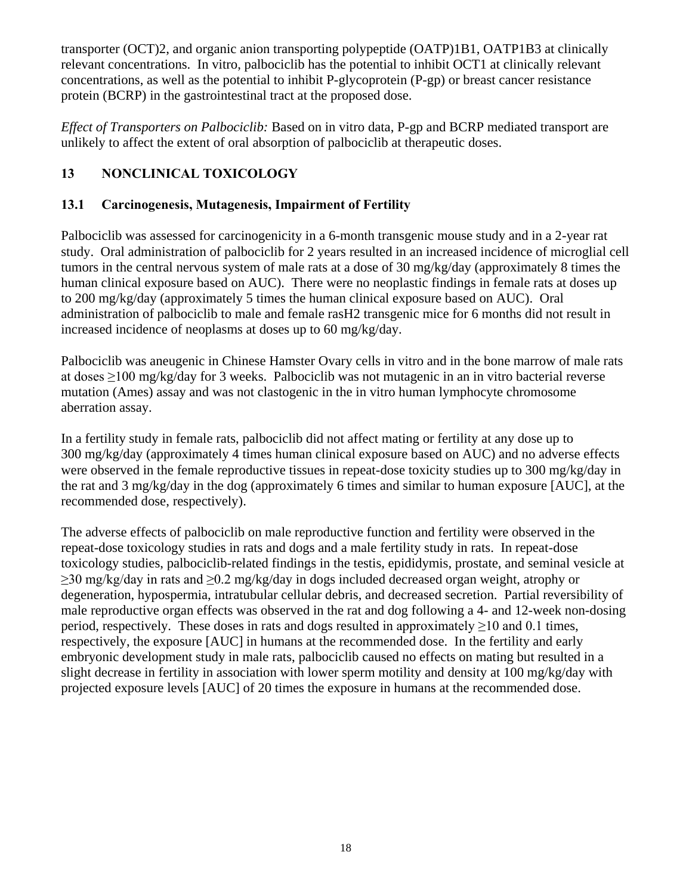transporter (OCT)2, and organic anion transporting polypeptide (OATP)1B1, OATP1B3 at clinically relevant concentrations. In vitro, palbociclib has the potential to inhibit OCT1 at clinically relevant concentrations, as well as the potential to inhibit P-glycoprotein (P-gp) or breast cancer resistance protein (BCRP) in the gastrointestinal tract at the proposed dose.

*Effect of Transporters on Palbociclib:* Based on in vitro data, P-gp and BCRP mediated transport are unlikely to affect the extent of oral absorption of palbociclib at therapeutic doses.

# **13 NONCLINICAL TOXICOLOGY**

### **13.1 Carcinogenesis, Mutagenesis, Impairment of Fertility**

Palbociclib was assessed for carcinogenicity in a 6-month transgenic mouse study and in a 2-year rat study. Oral administration of palbociclib for 2 years resulted in an increased incidence of microglial cell tumors in the central nervous system of male rats at a dose of 30 mg/kg/day (approximately 8 times the human clinical exposure based on AUC). There were no neoplastic findings in female rats at doses up to 200 mg/kg/day (approximately 5 times the human clinical exposure based on AUC). Oral administration of palbociclib to male and female rasH2 transgenic mice for 6 months did not result in increased incidence of neoplasms at doses up to 60 mg/kg/day.

Palbociclib was aneugenic in Chinese Hamster Ovary cells in vitro and in the bone marrow of male rats at doses ≥100 mg/kg/day for 3 weeks. Palbociclib was not mutagenic in an in vitro bacterial reverse mutation (Ames) assay and was not clastogenic in the in vitro human lymphocyte chromosome aberration assay.

In a fertility study in female rats, palbociclib did not affect mating or fertility at any dose up to 300 mg/kg/day (approximately 4 times human clinical exposure based on AUC) and no adverse effects were observed in the female reproductive tissues in repeat-dose toxicity studies up to 300 mg/kg/day in the rat and 3 mg/kg/day in the dog (approximately 6 times and similar to human exposure [AUC], at the recommended dose, respectively).

The adverse effects of palbociclib on male reproductive function and fertility were observed in the repeat-dose toxicology studies in rats and dogs and a male fertility study in rats. In repeat-dose toxicology studies, palbociclib-related findings in the testis, epididymis, prostate, and seminal vesicle at ≥30 mg/kg/day in rats and ≥0.2 mg/kg/day in dogs included decreased organ weight, atrophy or degeneration, hypospermia, intratubular cellular debris, and decreased secretion. Partial reversibility of male reproductive organ effects was observed in the rat and dog following a 4- and 12-week non-dosing period, respectively. These doses in rats and dogs resulted in approximately  $\geq 10$  and 0.1 times, respectively, the exposure [AUC] in humans at the recommended dose. In the fertility and early embryonic development study in male rats, palbociclib caused no effects on mating but resulted in a slight decrease in fertility in association with lower sperm motility and density at 100 mg/kg/day with projected exposure levels [AUC] of 20 times the exposure in humans at the recommended dose.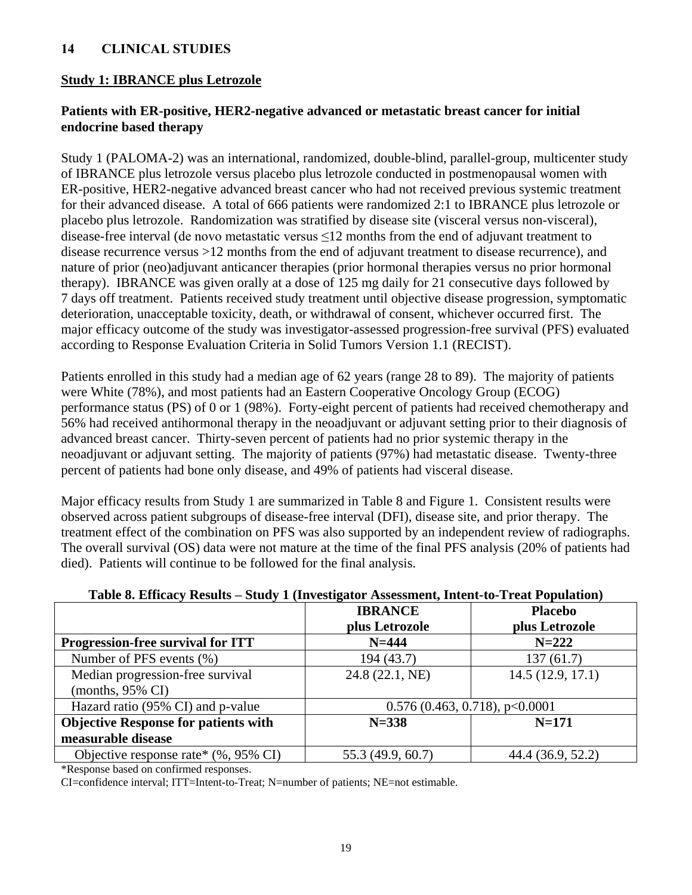### **14 CLINICAL STUDIES**

### **Study 1: IBRANCE plus Letrozole**

### **Patients with ER-positive, HER2-negative advanced or metastatic breast cancer for initial endocrine based therapy**

Study 1 (PALOMA-2) was an international, randomized, double-blind, parallel-group, multicenter study of IBRANCE plus letrozole versus placebo plus letrozole conducted in postmenopausal women with ER-positive, HER2-negative advanced breast cancer who had not received previous systemic treatment for their advanced disease. A total of 666 patients were randomized 2:1 to IBRANCE plus letrozole or placebo plus letrozole. Randomization was stratified by disease site (visceral versus non-visceral), disease-free interval (de novo metastatic versus ≤12 months from the end of adjuvant treatment to disease recurrence versus >12 months from the end of adjuvant treatment to disease recurrence), and nature of prior (neo)adjuvant anticancer therapies (prior hormonal therapies versus no prior hormonal therapy). IBRANCE was given orally at a dose of 125 mg daily for 21 consecutive days followed by 7 days off treatment. Patients received study treatment until objective disease progression, symptomatic deterioration, unacceptable toxicity, death, or withdrawal of consent, whichever occurred first. The major efficacy outcome of the study was investigator-assessed progression-free survival (PFS) evaluated according to Response Evaluation Criteria in Solid Tumors Version 1.1 (RECIST).

Patients enrolled in this study had a median age of 62 years (range 28 to 89). The majority of patients were White (78%), and most patients had an Eastern Cooperative Oncology Group (ECOG) performance status (PS) of 0 or 1 (98%). Forty-eight percent of patients had received chemotherapy and 56% had received antihormonal therapy in the neoadjuvant or adjuvant setting prior to their diagnosis of advanced breast cancer. Thirty-seven percent of patients had no prior systemic therapy in the neoadjuvant or adjuvant setting. The majority of patients (97%) had metastatic disease. Twenty-three percent of patients had bone only disease, and 49% of patients had visceral disease.

Major efficacy results from Study 1 are summarized in Table 8 and Figure 1. Consistent results were observed across patient subgroups of disease-free interval (DFI), disease site, and prior therapy. The treatment effect of the combination on PFS was also supported by an independent review of radiographs. The overall survival (OS) data were not mature at the time of the final PFS analysis (20% of patients had died). Patients will continue to be followed for the final analysis.

|                                             | <b>IBRANCE</b>    | <b>Placebo</b>                   |
|---------------------------------------------|-------------------|----------------------------------|
|                                             | plus Letrozole    | plus Letrozole                   |
| Progression-free survival for ITT           | $N = 444$         | $N = 222$                        |
| Number of PFS events (%)                    | 194 (43.7)        | 137(61.7)                        |
| Median progression-free survival            | 24.8 (22.1, NE)   | 14.5(12.9, 17.1)                 |
| (months, $95\%$ CI)                         |                   |                                  |
| Hazard ratio (95% CI) and p-value           |                   | $0.576$ (0.463, 0.718), p<0.0001 |
| <b>Objective Response for patients with</b> | $N = 338$         | $N = 171$                        |
| measurable disease                          |                   |                                  |
| Objective response rate* $(\%$ , 95% CI)    | 55.3 (49.9, 60.7) | 44.4 (36.9, 52.2)                |

### **Table 8. Efficacy Results – Study 1 (Investigator Assessment, Intent-to-Treat Population)**

\*Response based on confirmed responses.

CI=confidence interval; ITT=Intent-to-Treat; N=number of patients; NE=not estimable.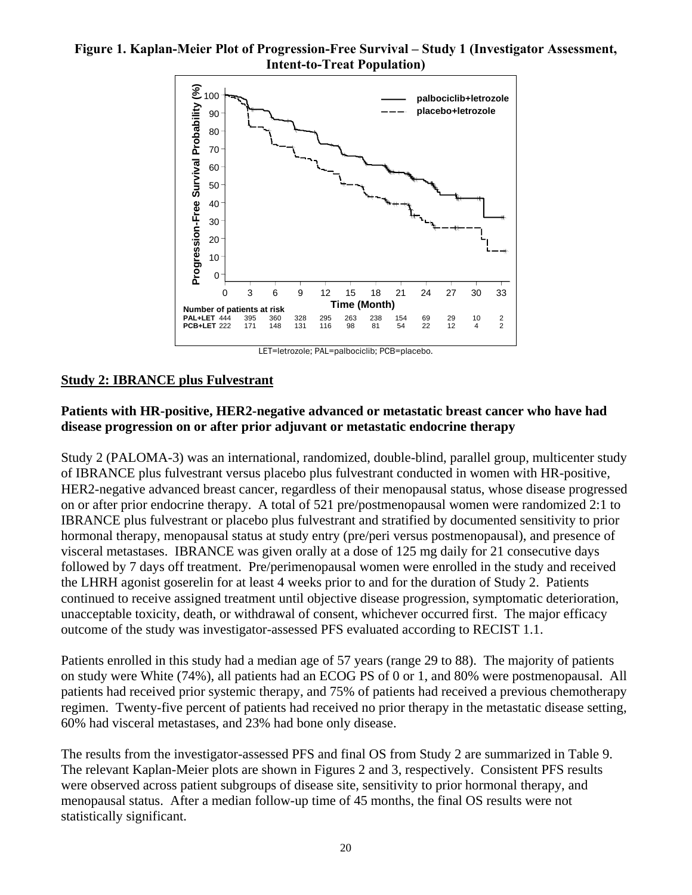### **Figure 1. Kaplan-Meier Plot of Progression-Free Survival – Study 1 (Investigator Assessment, Intent-to-Treat Population)**



### **Study 2: IBRANCE plus Fulvestrant**

### **Patients with HR-positive, HER2-negative advanced or metastatic breast cancer who have had disease progression on or after prior adjuvant or metastatic endocrine therapy**

Study 2 (PALOMA-3) was an international, randomized, double-blind, parallel group, multicenter study of IBRANCE plus fulvestrant versus placebo plus fulvestrant conducted in women with HR-positive, HER2-negative advanced breast cancer, regardless of their menopausal status, whose disease progressed on or after prior endocrine therapy. A total of 521 pre/postmenopausal women were randomized 2:1 to IBRANCE plus fulvestrant or placebo plus fulvestrant and stratified by documented sensitivity to prior hormonal therapy, menopausal status at study entry (pre/peri versus postmenopausal), and presence of visceral metastases. IBRANCE was given orally at a dose of 125 mg daily for 21 consecutive days followed by 7 days off treatment. Pre/perimenopausal women were enrolled in the study and received the LHRH agonist goserelin for at least 4 weeks prior to and for the duration of Study 2. Patients continued to receive assigned treatment until objective disease progression, symptomatic deterioration, unacceptable toxicity, death, or withdrawal of consent, whichever occurred first. The major efficacy outcome of the study was investigator-assessed PFS evaluated according to RECIST 1.1.

Patients enrolled in this study had a median age of 57 years (range 29 to 88). The majority of patients on study were White (74%), all patients had an ECOG PS of 0 or 1, and 80% were postmenopausal. All patients had received prior systemic therapy, and 75% of patients had received a previous chemotherapy regimen. Twenty-five percent of patients had received no prior therapy in the metastatic disease setting, 60% had visceral metastases, and 23% had bone only disease.

The results from the investigator-assessed PFS and final OS from Study 2 are summarized in Table 9. The relevant Kaplan-Meier plots are shown in Figures 2 and 3, respectively. Consistent PFS results were observed across patient subgroups of disease site, sensitivity to prior hormonal therapy, and menopausal status. After a median follow-up time of 45 months, the final OS results were not statistically significant.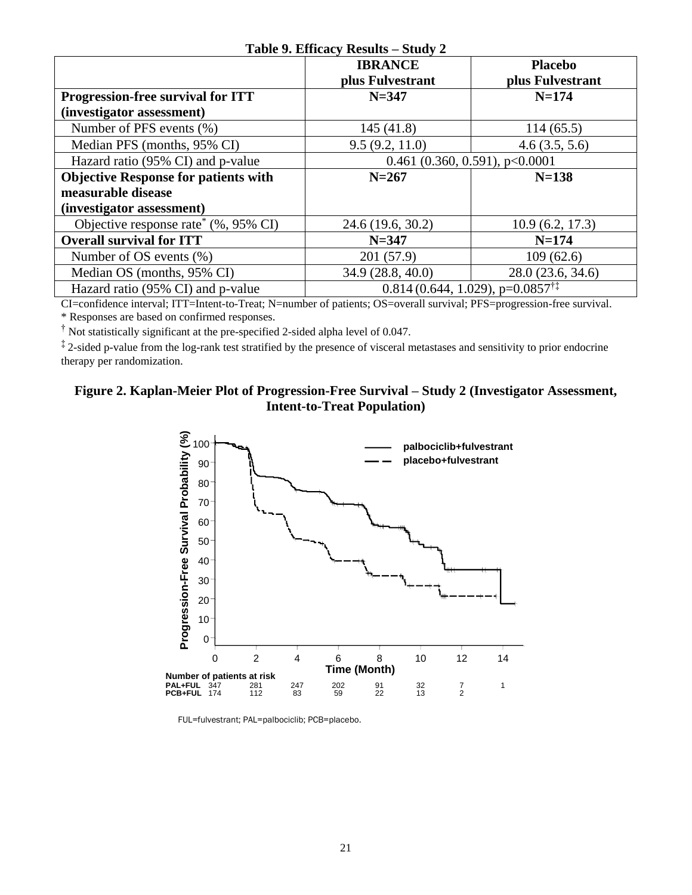| Table 9. Efficacy Results – Study 2              |                                                       |                   |  |  |  |
|--------------------------------------------------|-------------------------------------------------------|-------------------|--|--|--|
|                                                  | <b>IBRANCE</b>                                        | <b>Placebo</b>    |  |  |  |
|                                                  | plus Fulvestrant                                      | plus Fulvestrant  |  |  |  |
| <b>Progression-free survival for ITT</b>         | $N = 347$                                             | $N = 174$         |  |  |  |
| (investigator assessment)                        |                                                       |                   |  |  |  |
| Number of PFS events (%)                         | 145 (41.8)                                            | 114(65.5)         |  |  |  |
| Median PFS (months, 95% CI)                      | 9.5(9.2, 11.0)                                        | 4.6(3.5, 5.6)     |  |  |  |
| Hazard ratio (95% CI) and p-value                | 0.461 (0.360, 0.591), $p<0.0001$                      |                   |  |  |  |
| <b>Objective Response for patients with</b>      | $N = 267$                                             | $N=138$           |  |  |  |
| measurable disease                               |                                                       |                   |  |  |  |
| (investigator assessment)                        |                                                       |                   |  |  |  |
| Objective response rate <sup>*</sup> (%, 95% CI) | 24.6 (19.6, 30.2)                                     | 10.9(6.2, 17.3)   |  |  |  |
| <b>Overall survival for ITT</b>                  | $N = 347$                                             | $N = 174$         |  |  |  |
| Number of OS events $(\%)$                       | 201 (57.9)                                            | 109(62.6)         |  |  |  |
| Median OS (months, 95% CI)                       | 34.9 (28.8, 40.0)                                     | 28.0 (23.6, 34.6) |  |  |  |
| Hazard ratio (95% CI) and p-value                | $0.814(0.644, 1.029)$ , p= $0.0857^{\dagger\ddagger}$ |                   |  |  |  |

#### CI=confidence interval; ITT=Intent-to-Treat; N=number of patients; OS=overall survival; PFS=progression-free survival. \* Responses are based on confirmed responses.

† Not statistically significant at the pre-specified 2-sided alpha level of 0.047.

<sup>‡</sup> 2-sided p-value from the log-rank test stratified by the presence of visceral metastases and sensitivity to prior endocrine therapy per randomization.

### **Figure 2. Kaplan-Meier Plot of Progression-Free Survival – Study 2 (Investigator Assessment, Intent-to-Treat Population)**



FUL=fulvestrant; PAL=palbociclib; PCB=placebo.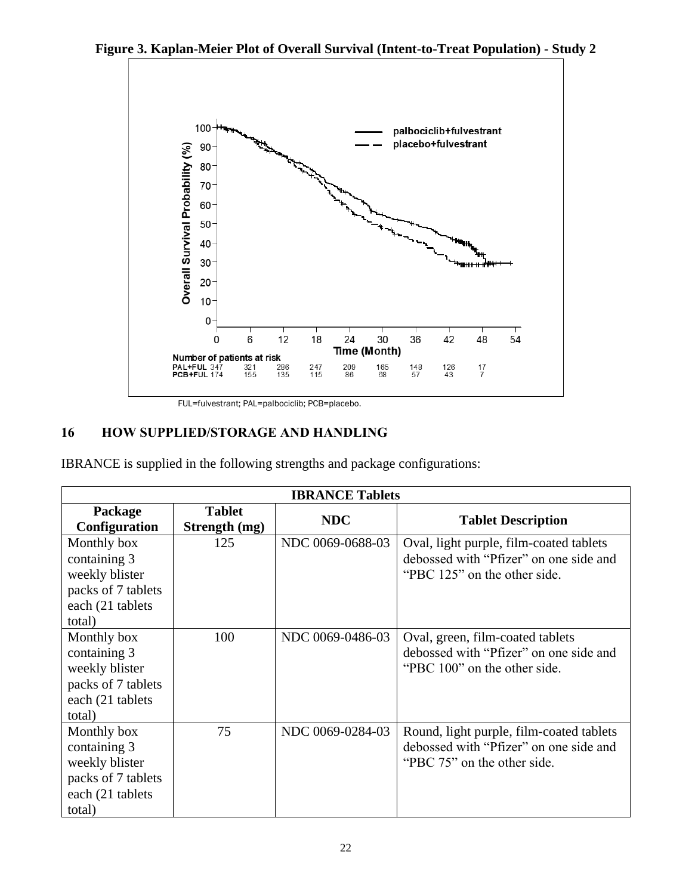**Figure 3. Kaplan-Meier Plot of Overall Survival (Intent-to-Treat Population) - Study 2** 



FUL=fulvestrant; PAL=palbociclib; PCB=placebo.

# **16 HOW SUPPLIED/STORAGE AND HANDLING**

IBRANCE is supplied in the following strengths and package configurations:

| <b>IBRANCE Tablets</b>                                                                            |                                |                  |                                                                                                                   |  |  |
|---------------------------------------------------------------------------------------------------|--------------------------------|------------------|-------------------------------------------------------------------------------------------------------------------|--|--|
| Package<br>Configuration                                                                          | <b>Tablet</b><br>Strength (mg) | <b>NDC</b>       | <b>Tablet Description</b>                                                                                         |  |  |
| Monthly box<br>containing 3<br>weekly blister<br>packs of 7 tablets<br>each (21 tablets<br>total) | 125                            | NDC 0069-0688-03 | Oval, light purple, film-coated tablets<br>debossed with "Pfizer" on one side and<br>"PBC 125" on the other side. |  |  |
| Monthly box<br>containing 3<br>weekly blister<br>packs of 7 tablets<br>each (21 tablets<br>total) | 100                            | NDC 0069-0486-03 | Oval, green, film-coated tablets<br>debossed with "Pfizer" on one side and<br>"PBC 100" on the other side.        |  |  |
| Monthly box<br>containing 3<br>weekly blister<br>packs of 7 tablets<br>each (21 tablets<br>total) | 75                             | NDC 0069-0284-03 | Round, light purple, film-coated tablets<br>debossed with "Pfizer" on one side and<br>"PBC 75" on the other side. |  |  |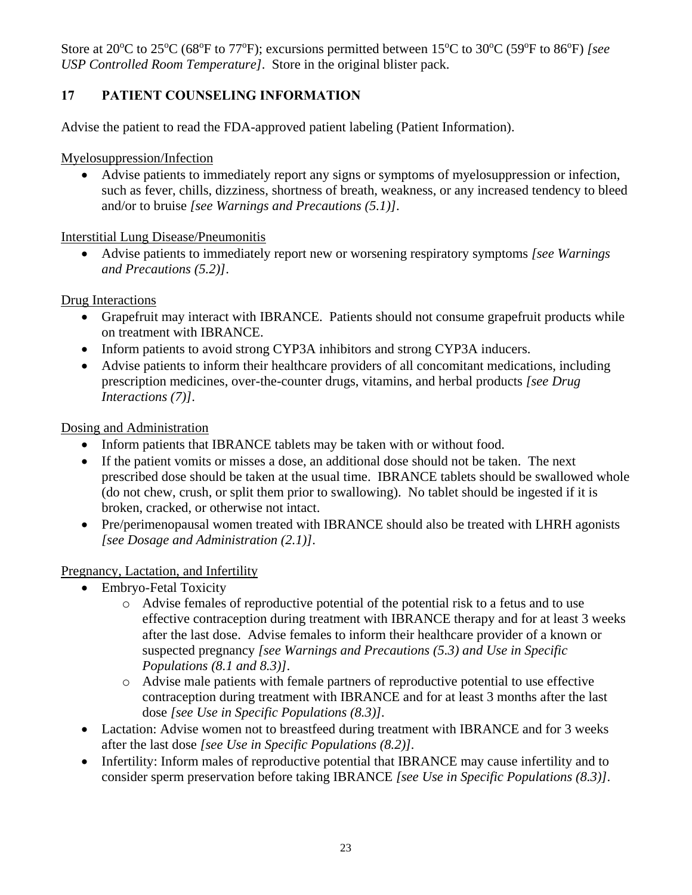Store at 20<sup>o</sup>C to 25<sup>o</sup>C (68<sup>o</sup>F to 77<sup>o</sup>F); excursions permitted between 15<sup>o</sup>C to 30<sup>o</sup>C (59<sup>o</sup>F to 86<sup>o</sup>F) *[see USP Controlled Room Temperature]*. Store in the original blister pack.

# **17 PATIENT COUNSELING INFORMATION**

Advise the patient to read the FDA-approved patient labeling (Patient Information).

Myelosuppression/Infection

• Advise patients to immediately report any signs or symptoms of myelosuppression or infection, such as fever, chills, dizziness, shortness of breath, weakness, or any increased tendency to bleed and/or to bruise *[see Warnings and Precautions (5.1)]*.

### Interstitial Lung Disease/Pneumonitis

• Advise patients to immediately report new or worsening respiratory symptoms *[see Warnings and Precautions (5.2)]*.

Drug Interactions

- Grapefruit may interact with IBRANCE. Patients should not consume grapefruit products while on treatment with IBRANCE.
- Inform patients to avoid strong CYP3A inhibitors and strong CYP3A inducers.
- Advise patients to inform their healthcare providers of all concomitant medications, including prescription medicines, over-the-counter drugs, vitamins, and herbal products *[see Drug Interactions (7)]*.

Dosing and Administration

- Inform patients that IBRANCE tablets may be taken with or without food.
- If the patient vomits or misses a dose, an additional dose should not be taken. The next prescribed dose should be taken at the usual time. IBRANCE tablets should be swallowed whole (do not chew, crush, or split them prior to swallowing). No tablet should be ingested if it is broken, cracked, or otherwise not intact.
- Pre/perimenopausal women treated with IBRANCE should also be treated with LHRH agonists *[see Dosage and Administration (2.1)]*.

### Pregnancy, Lactation, and Infertility

- Embryo-Fetal Toxicity
	- o Advise females of reproductive potential of the potential risk to a fetus and to use effective contraception during treatment with IBRANCE therapy and for at least 3 weeks after the last dose. Advise females to inform their healthcare provider of a known or suspected pregnancy *[see Warnings and Precautions (5.3) and Use in Specific Populations (8.1 and 8.3)]*.
	- o Advise male patients with female partners of reproductive potential to use effective contraception during treatment with IBRANCE and for at least 3 months after the last dose *[see Use in Specific Populations (8.3)].*
- Lactation: Advise women not to breastfeed during treatment with IBRANCE and for 3 weeks after the last dose *[see Use in Specific Populations (8.2)].*
- Infertility: Inform males of reproductive potential that IBRANCE may cause infertility and to consider sperm preservation before taking IBRANCE *[see Use in Specific Populations (8.3)]*.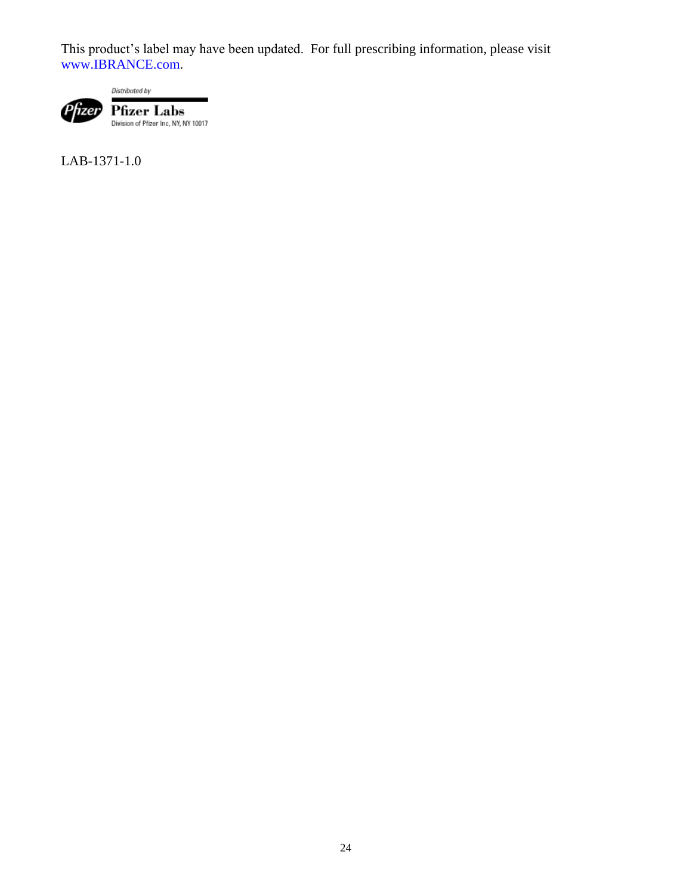This product's label may have been updated. For full prescribing information, please visit [www.IBRANCE.com.](http://www.ibrance.com/)

Distributed by



**Pfizer Labs**<br>Division of Pfizer Inc, NY, NY 10017

LAB-1371-1.0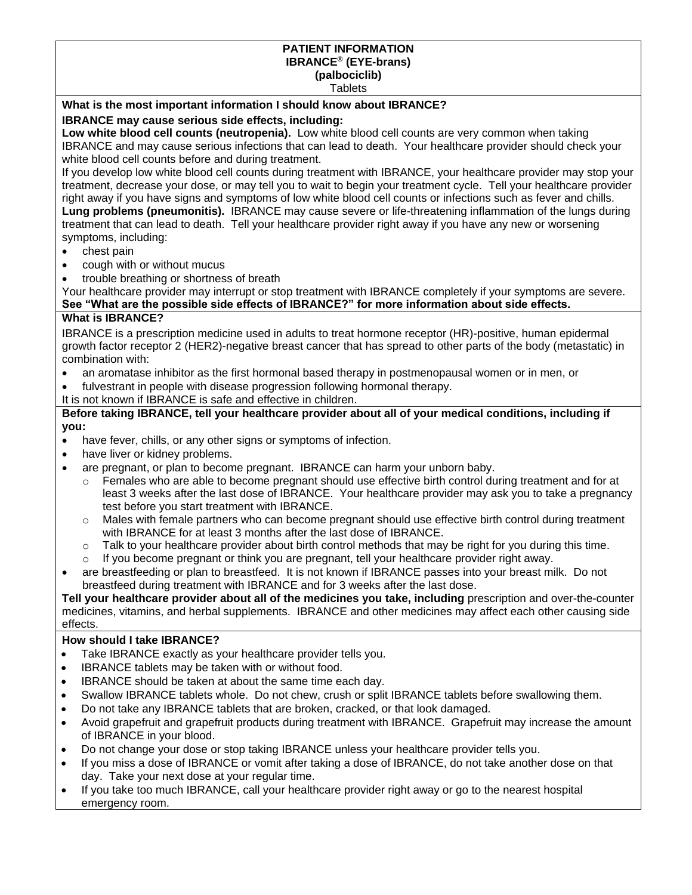#### **PATIENT INFORMATION IBRANCE® (EYE-brans) (palbociclib) Tablets**

### **What is the most important information I should know about IBRANCE?**

### **IBRANCE may cause serious side effects, including:**

**Low white blood cell counts (neutropenia).** Low white blood cell counts are very common when taking IBRANCE and may cause serious infections that can lead to death. Your healthcare provider should check your white blood cell counts before and during treatment.

If you develop low white blood cell counts during treatment with IBRANCE, your healthcare provider may stop your treatment, decrease your dose, or may tell you to wait to begin your treatment cycle. Tell your healthcare provider right away if you have signs and symptoms of low white blood cell counts or infections such as fever and chills. **Lung problems (pneumonitis).** IBRANCE may cause severe or life-threatening inflammation of the lungs during treatment that can lead to death. Tell your healthcare provider right away if you have any new or worsening symptoms, including:

- chest pain
- cough with or without mucus
- trouble breathing or shortness of breath

Your healthcare provider may interrupt or stop treatment with IBRANCE completely if your symptoms are severe. **See "What are the possible side effects of IBRANCE?" for more information about side effects.**

### **What is IBRANCE?**

IBRANCE is a prescription medicine used in adults to treat hormone receptor (HR)-positive, human epidermal growth factor receptor 2 (HER2)-negative breast cancer that has spread to other parts of the body (metastatic) in combination with:

- an aromatase inhibitor as the first hormonal based therapy in postmenopausal women or in men, or
- fulvestrant in people with disease progression following hormonal therapy.

It is not known if IBRANCE is safe and effective in children.

#### **Before taking IBRANCE, tell your healthcare provider about all of your medical conditions, including if you:**

- have fever, chills, or any other signs or symptoms of infection.
- have liver or kidney problems.
- are pregnant, or plan to become pregnant. IBRANCE can harm your unborn baby.
	- $\circ$  Females who are able to become pregnant should use effective birth control during treatment and for at least 3 weeks after the last dose of IBRANCE. Your healthcare provider may ask you to take a pregnancy test before you start treatment with IBRANCE.
	- $\circ$  Males with female partners who can become pregnant should use effective birth control during treatment with IBRANCE for at least 3 months after the last dose of IBRANCE.
	- $\circ$  Talk to your healthcare provider about birth control methods that may be right for you during this time.
	- $\circ$  If you become pregnant or think you are pregnant, tell your healthcare provider right away.
- are breastfeeding or plan to breastfeed. It is not known if IBRANCE passes into your breast milk. Do not breastfeed during treatment with IBRANCE and for 3 weeks after the last dose.

**Tell your healthcare provider about all of the medicines you take, including** prescription and over-the-counter medicines, vitamins, and herbal supplements. IBRANCE and other medicines may affect each other causing side effects.

### **How should I take IBRANCE?**

- Take IBRANCE exactly as your healthcare provider tells you.
- IBRANCE tablets may be taken with or without food.
- IBRANCE should be taken at about the same time each day.
- Swallow IBRANCE tablets whole. Do not chew, crush or split IBRANCE tablets before swallowing them.
- Do not take any IBRANCE tablets that are broken, cracked, or that look damaged.
- Avoid grapefruit and grapefruit products during treatment with IBRANCE. Grapefruit may increase the amount of IBRANCE in your blood.
- Do not change your dose or stop taking IBRANCE unless your healthcare provider tells you.
- If you miss a dose of IBRANCE or vomit after taking a dose of IBRANCE, do not take another dose on that day. Take your next dose at your regular time.
- If you take too much IBRANCE, call your healthcare provider right away or go to the nearest hospital emergency room.